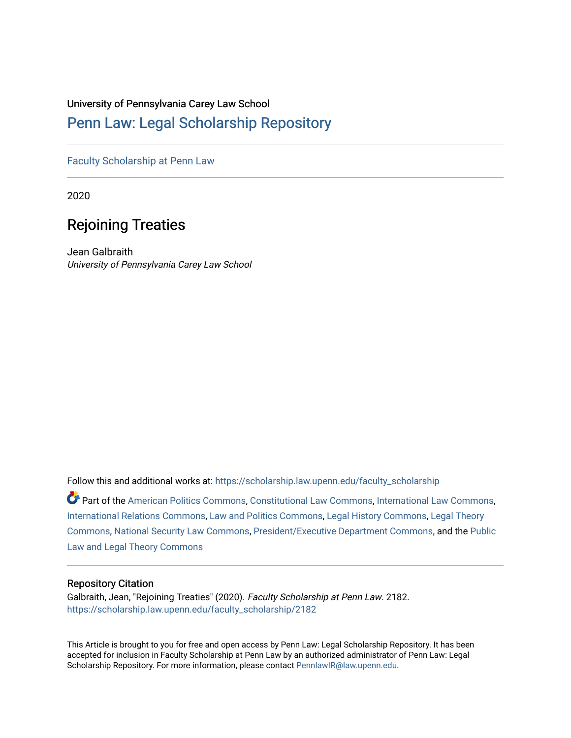## University of Pennsylvania Carey Law School

# [Penn Law: Legal Scholarship Repository](https://scholarship.law.upenn.edu/)

[Faculty Scholarship at Penn Law](https://scholarship.law.upenn.edu/faculty_scholarship)

2020

# Rejoining Treaties

Jean Galbraith University of Pennsylvania Carey Law School

Follow this and additional works at: [https://scholarship.law.upenn.edu/faculty\\_scholarship](https://scholarship.law.upenn.edu/faculty_scholarship?utm_source=scholarship.law.upenn.edu%2Ffaculty_scholarship%2F2182&utm_medium=PDF&utm_campaign=PDFCoverPages) 

Part of the [American Politics Commons,](http://network.bepress.com/hgg/discipline/387?utm_source=scholarship.law.upenn.edu%2Ffaculty_scholarship%2F2182&utm_medium=PDF&utm_campaign=PDFCoverPages) [Constitutional Law Commons,](http://network.bepress.com/hgg/discipline/589?utm_source=scholarship.law.upenn.edu%2Ffaculty_scholarship%2F2182&utm_medium=PDF&utm_campaign=PDFCoverPages) [International Law Commons,](http://network.bepress.com/hgg/discipline/609?utm_source=scholarship.law.upenn.edu%2Ffaculty_scholarship%2F2182&utm_medium=PDF&utm_campaign=PDFCoverPages) [International Relations Commons](http://network.bepress.com/hgg/discipline/389?utm_source=scholarship.law.upenn.edu%2Ffaculty_scholarship%2F2182&utm_medium=PDF&utm_campaign=PDFCoverPages), [Law and Politics Commons](http://network.bepress.com/hgg/discipline/867?utm_source=scholarship.law.upenn.edu%2Ffaculty_scholarship%2F2182&utm_medium=PDF&utm_campaign=PDFCoverPages), [Legal History Commons,](http://network.bepress.com/hgg/discipline/904?utm_source=scholarship.law.upenn.edu%2Ffaculty_scholarship%2F2182&utm_medium=PDF&utm_campaign=PDFCoverPages) [Legal Theory](http://network.bepress.com/hgg/discipline/369?utm_source=scholarship.law.upenn.edu%2Ffaculty_scholarship%2F2182&utm_medium=PDF&utm_campaign=PDFCoverPages) [Commons](http://network.bepress.com/hgg/discipline/369?utm_source=scholarship.law.upenn.edu%2Ffaculty_scholarship%2F2182&utm_medium=PDF&utm_campaign=PDFCoverPages), [National Security Law Commons,](http://network.bepress.com/hgg/discipline/1114?utm_source=scholarship.law.upenn.edu%2Ffaculty_scholarship%2F2182&utm_medium=PDF&utm_campaign=PDFCoverPages) [President/Executive Department Commons](http://network.bepress.com/hgg/discipline/1118?utm_source=scholarship.law.upenn.edu%2Ffaculty_scholarship%2F2182&utm_medium=PDF&utm_campaign=PDFCoverPages), and the [Public](http://network.bepress.com/hgg/discipline/871?utm_source=scholarship.law.upenn.edu%2Ffaculty_scholarship%2F2182&utm_medium=PDF&utm_campaign=PDFCoverPages)  [Law and Legal Theory Commons](http://network.bepress.com/hgg/discipline/871?utm_source=scholarship.law.upenn.edu%2Ffaculty_scholarship%2F2182&utm_medium=PDF&utm_campaign=PDFCoverPages) 

## Repository Citation

Galbraith, Jean, "Rejoining Treaties" (2020). Faculty Scholarship at Penn Law. 2182. [https://scholarship.law.upenn.edu/faculty\\_scholarship/2182](https://scholarship.law.upenn.edu/faculty_scholarship/2182?utm_source=scholarship.law.upenn.edu%2Ffaculty_scholarship%2F2182&utm_medium=PDF&utm_campaign=PDFCoverPages)

This Article is brought to you for free and open access by Penn Law: Legal Scholarship Repository. It has been accepted for inclusion in Faculty Scholarship at Penn Law by an authorized administrator of Penn Law: Legal Scholarship Repository. For more information, please contact [PennlawIR@law.upenn.edu.](mailto:PennlawIR@law.upenn.edu)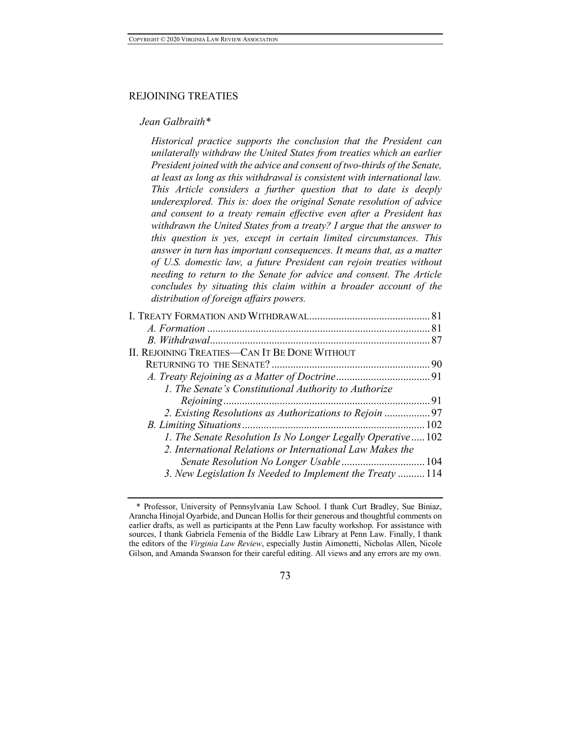#### REJOINING TREATIES

#### *Jean Galbraith\**

*Historical practice supports the conclusion that the President can unilaterally withdraw the United States from treaties which an earlier President joined with the advice and consent of two-thirds of the Senate, at least as long as this withdrawal is consistent with international law. This Article considers a further question that to date is deeply underexplored. This is: does the original Senate resolution of advice and consent to a treaty remain effective even after a President has withdrawn the United States from a treaty? I argue that the answer to this question is yes, except in certain limited circumstances. This answer in turn has important consequences. It means that, as a matter of U.S. domestic law, a future President can rejoin treaties without needing to return to the Senate for advice and consent. The Article concludes by situating this claim within a broader account of the distribution of foreign affairs powers.*

| II. REJOINING TREATIES—CAN IT BE DONE WITHOUT               |    |
|-------------------------------------------------------------|----|
|                                                             |    |
|                                                             |    |
| 1. The Senate's Constitutional Authority to Authorize       |    |
|                                                             | 91 |
| 2. Existing Resolutions as Authorizations to Rejoin 97      |    |
|                                                             |    |
| 1. The Senate Resolution Is No Longer Legally Operative 102 |    |
| 2. International Relations or International Law Makes the   |    |
|                                                             |    |
| 3. New Legislation Is Needed to Implement the Treaty  114   |    |
|                                                             |    |

<sup>\*</sup> Professor, University of Pennsylvania Law School. I thank Curt Bradley, Sue Biniaz, Arancha Hinojal Oyarbide, and Duncan Hollis for their generous and thoughtful comments on earlier drafts, as well as participants at the Penn Law faculty workshop. For assistance with sources, I thank Gabriela Femenia of the Biddle Law Library at Penn Law. Finally, I thank the editors of the *Virginia Law Review*, especially Justin Aimonetti, Nicholas Allen, Nicole Gilson, and Amanda Swanson for their careful editing. All views and any errors are my own.

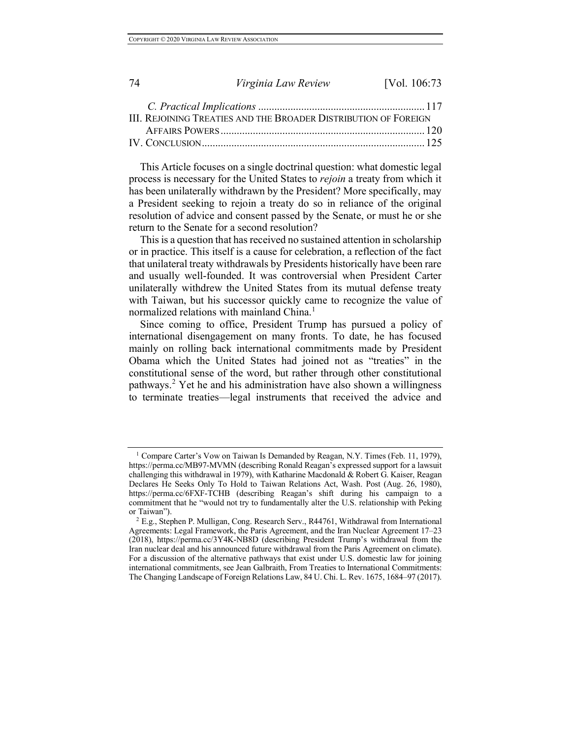| -74 | Virginia Law Review                                             | [Vol. 106:73] |
|-----|-----------------------------------------------------------------|---------------|
|     |                                                                 |               |
|     | III. REJOINING TREATIES AND THE BROADER DISTRIBUTION OF FOREIGN |               |
|     |                                                                 |               |
|     |                                                                 |               |

This Article focuses on a single doctrinal question: what domestic legal process is necessary for the United States to *rejoin* a treaty from which it has been unilaterally withdrawn by the President? More specifically, may a President seeking to rejoin a treaty do so in reliance of the original resolution of advice and consent passed by the Senate, or must he or she return to the Senate for a second resolution?

This is a question that has received no sustained attention in scholarship or in practice. This itself is a cause for celebration, a reflection of the fact that unilateral treaty withdrawals by Presidents historically have been rare and usually well-founded. It was controversial when President Carter unilaterally withdrew the United States from its mutual defense treaty with Taiwan, but his successor quickly came to recognize the value of normalized relations with mainland China.<sup>1</sup>

Since coming to office, President Trump has pursued a policy of international disengagement on many fronts. To date, he has focused mainly on rolling back international commitments made by President Obama which the United States had joined not as "treaties" in the constitutional sense of the word, but rather through other constitutional pathways.<sup>2</sup> Yet he and his administration have also shown a willingness to terminate treaties—legal instruments that received the advice and

<sup>&</sup>lt;sup>1</sup> Compare Carter's Vow on Taiwan Is Demanded by Reagan, N.Y. Times (Feb. 11, 1979), https://perma.cc/MB97-MVMN (describing Ronald Reagan's expressed support for a lawsuit challenging this withdrawal in 1979), with Katharine Macdonald & Robert G. Kaiser, Reagan Declares He Seeks Only To Hold to Taiwan Relations Act, Wash. Post (Aug. 26, 1980), https://perma.cc/6FXF-TCHB (describing Reagan's shift during his campaign to a commitment that he "would not try to fundamentally alter the U.S. relationship with Peking or Taiwan").<br><sup>2</sup> E.g., Stephen P. Mulligan, Cong. Research Serv., R44761, Withdrawal from International

Agreements: Legal Framework, the Paris Agreement, and the Iran Nuclear Agreement 17–23 (2018), https://perma.cc/3Y4K-NB8D (describing President Trump's withdrawal from the Iran nuclear deal and his announced future withdrawal from the Paris Agreement on climate). For a discussion of the alternative pathways that exist under U.S. domestic law for joining international commitments, see Jean Galbraith, From Treaties to International Commitments: The Changing Landscape of Foreign Relations Law, 84 U. Chi. L. Rev. 1675, 1684–97 (2017).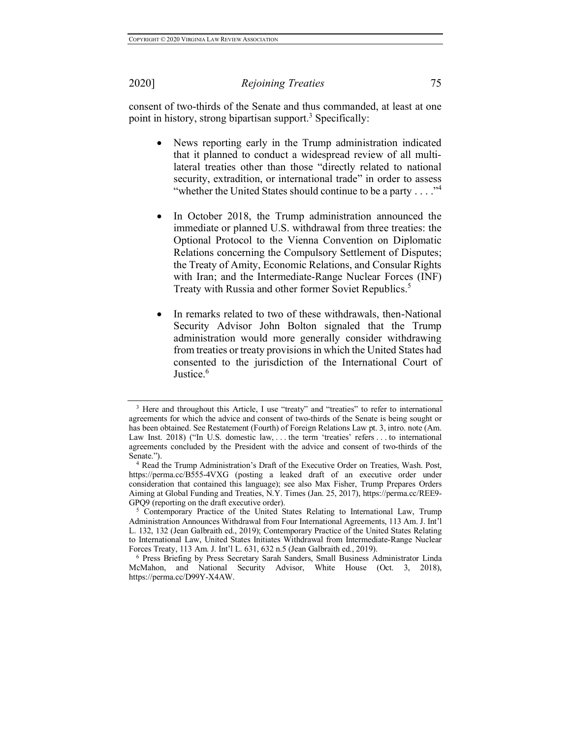consent of two-thirds of the Senate and thus commanded, at least at one point in history, strong bipartisan support.<sup>3</sup> Specifically:

- News reporting early in the Trump administration indicated that it planned to conduct a widespread review of all multilateral treaties other than those "directly related to national security, extradition, or international trade" in order to assess "whether the United States should continue to be a party  $\dots$ "<sup>4</sup>
- In October 2018, the Trump administration announced the immediate or planned U.S. withdrawal from three treaties: the Optional Protocol to the Vienna Convention on Diplomatic Relations concerning the Compulsory Settlement of Disputes; the Treaty of Amity, Economic Relations, and Consular Rights with Iran; and the Intermediate-Range Nuclear Forces (INF) Treaty with Russia and other former Soviet Republics.<sup>5</sup>
- In remarks related to two of these withdrawals, then-National Security Advisor John Bolton signaled that the Trump administration would more generally consider withdrawing from treaties or treaty provisions in which the United States had consented to the jurisdiction of the International Court of Justice.<sup>6</sup>

<sup>&</sup>lt;sup>3</sup> Here and throughout this Article, I use "treaty" and "treaties" to refer to international agreements for which the advice and consent of two-thirds of the Senate is being sought or has been obtained. See Restatement (Fourth) of Foreign Relations Law pt. 3, intro. note (Am. Law Inst. 2018) ("In U.S. domestic law, . . . the term 'treaties' refers . . . to international agreements concluded by the President with the advice and consent of two-thirds of the Senate.").

<sup>4</sup> Read the Trump Administration's Draft of the Executive Order on Treaties, Wash. Post, https://perma.cc/B555-4VXG (posting a leaked draft of an executive order under consideration that contained this language); see also Max Fisher, Trump Prepares Orders Aiming at Global Funding and Treaties, N.Y. Times (Jan. 25, 2017), https://perma.cc/REE9- GPQ9 (reporting on the draft executive order).

<sup>5</sup> Contemporary Practice of the United States Relating to International Law, Trump Administration Announces Withdrawal from Four International Agreements, 113 Am. J. Int'l L. 132, 132 (Jean Galbraith ed., 2019); Contemporary Practice of the United States Relating to International Law, United States Initiates Withdrawal from Intermediate-Range Nuclear Forces Treaty, 113 Am. J. Int'l L. 631, 632 n.5 (Jean Galbraith ed., 2019).<br><sup>6</sup> Press Briefing by Press Secretary Sarah Sanders, Small Business Administrator Linda

McMahon, and National Security Advisor, White House (Oct. 3, 2018), https://perma.cc/D99Y-X4AW.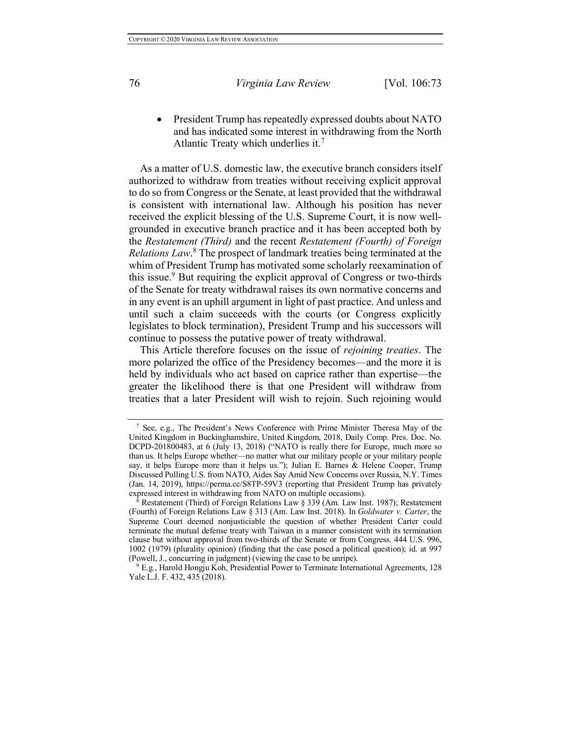• President Trump has repeatedly expressed doubts about NATO and has indicated some interest in withdrawing from the North Atlantic Treaty which underlies it.<sup>7</sup>

As a matter of U.S. domestic law, the executive branch considers itself authorized to withdraw from treaties without receiving explicit approval to do so from Congress or the Senate, at least provided that the withdrawal is consistent with international law. Although his position has never received the explicit blessing of the U.S. Supreme Court, it is now wellgrounded in executive branch practice and it has been accepted both by the *Restatement (Third)* and the recent *Restatement (Fourth) of Foreign Relations Law*. <sup>8</sup> The prospect of landmark treaties being terminated at the whim of President Trump has motivated some scholarly reexamination of this issue.<sup>9</sup> But requiring the explicit approval of Congress or two-thirds of the Senate for treaty withdrawal raises its own normative concerns and in any event is an uphill argument in light of past practice. And unless and until such a claim succeeds with the courts (or Congress explicitly legislates to block termination), President Trump and his successors will continue to possess the putative power of treaty withdrawal.

This Article therefore focuses on the issue of *rejoining treaties*. The more polarized the office of the Presidency becomes—and the more it is held by individuals who act based on caprice rather than expertise—the greater the likelihood there is that one President will withdraw from treaties that a later President will wish to rejoin. Such rejoining would

<sup>7</sup> See, e.g., The President's News Conference with Prime Minister Theresa May of the United Kingdom in Buckinghamshire, United Kingdom, 2018, Daily Comp. Pres. Doc. No. DCPD-201800483, at 6 (July 13, 2018) ("NATO is really there for Europe, much more so than us. It helps Europe whether—no matter what our military people or your military people say, it helps Europe more than it helps us."); Julian E. Barnes & Helene Cooper, Trump Discussed Pulling U.S. from NATO, Aides Say Amid New Concerns over Russia, N.Y. Times (Jan. 14, 2019), https://perma.cc/S8TP-59V3 (reporting that President Trump has privately expressed interest in withdrawing from NATO on multiple occasions).

<sup>8</sup> Restatement (Third) of Foreign Relations Law § 339 (Am. Law Inst. 1987); Restatement (Fourth) of Foreign Relations Law § 313 (Am. Law Inst. 2018). In *Goldwater v. Carter*, the Supreme Court deemed nonjusticiable the question of whether President Carter could terminate the mutual defense treaty with Taiwan in a manner consistent with its termination clause but without approval from two-thirds of the Senate or from Congress. 444 U.S. 996, 1002 (1979) (plurality opinion) (finding that the case posed a political question); id. at 997 (Powell, J., concurring in judgment) (viewing the case to be unripe).

<sup>9</sup> E.g., Harold Hongju Koh, Presidential Power to Terminate International Agreements, 128 Yale L.J. F. 432, 435 (2018).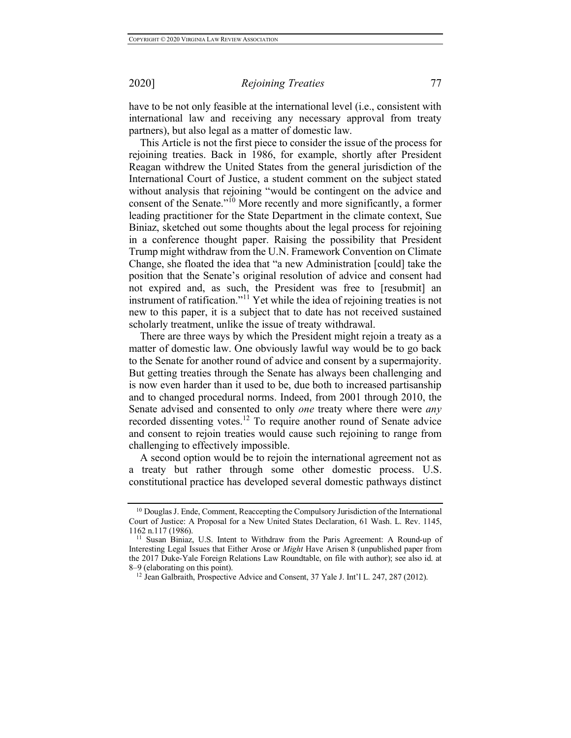have to be not only feasible at the international level (i.e., consistent with international law and receiving any necessary approval from treaty partners), but also legal as a matter of domestic law.

This Article is not the first piece to consider the issue of the process for rejoining treaties. Back in 1986, for example, shortly after President Reagan withdrew the United States from the general jurisdiction of the International Court of Justice, a student comment on the subject stated without analysis that rejoining "would be contingent on the advice and consent of the Senate."<sup>10</sup> More recently and more significantly, a former leading practitioner for the State Department in the climate context, Sue Biniaz, sketched out some thoughts about the legal process for rejoining in a conference thought paper. Raising the possibility that President Trump might withdraw from the U.N. Framework Convention on Climate Change, she floated the idea that "a new Administration [could] take the position that the Senate's original resolution of advice and consent had not expired and, as such, the President was free to [resubmit] an instrument of ratification."<sup>11</sup> Yet while the idea of rejoining treaties is not new to this paper, it is a subject that to date has not received sustained scholarly treatment, unlike the issue of treaty withdrawal.

There are three ways by which the President might rejoin a treaty as a matter of domestic law. One obviously lawful way would be to go back to the Senate for another round of advice and consent by a supermajority. But getting treaties through the Senate has always been challenging and is now even harder than it used to be, due both to increased partisanship and to changed procedural norms. Indeed, from 2001 through 2010, the Senate advised and consented to only *one* treaty where there were *any* recorded dissenting votes.<sup>12</sup> To require another round of Senate advice and consent to rejoin treaties would cause such rejoining to range from challenging to effectively impossible.

A second option would be to rejoin the international agreement not as a treaty but rather through some other domestic process. U.S. constitutional practice has developed several domestic pathways distinct

<sup>&</sup>lt;sup>10</sup> Douglas J. Ende, Comment, Reaccepting the Compulsory Jurisdiction of the International Court of Justice: A Proposal for a New United States Declaration, 61 Wash. L. Rev. 1145, 1162 n.117 (1986).

<sup>&</sup>lt;sup>11</sup> Susan Biniaz, U.S. Intent to Withdraw from the Paris Agreement: A Round-up of Interesting Legal Issues that Either Arose or *Might* Have Arisen 8 (unpublished paper from the 2017 Duke-Yale Foreign Relations Law Roundtable, on file with author); see also id. at 8–9 (elaborating on this point).

<sup>&</sup>lt;sup>12</sup> Jean Galbraith, Prospective Advice and Consent, 37 Yale J. Int'l L. 247, 287 (2012).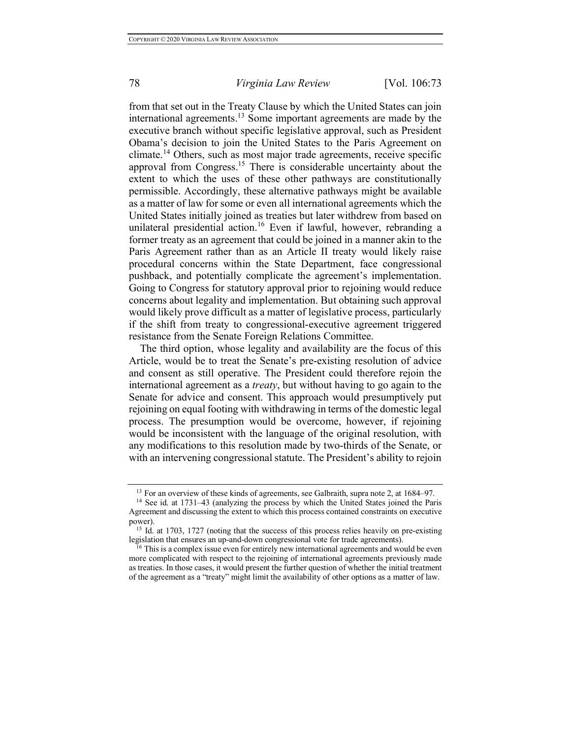from that set out in the Treaty Clause by which the United States can join international agreements.<sup>13</sup> Some important agreements are made by the executive branch without specific legislative approval, such as President Obama's decision to join the United States to the Paris Agreement on climate.<sup>14</sup> Others, such as most major trade agreements, receive specific approval from Congress.15 There is considerable uncertainty about the extent to which the uses of these other pathways are constitutionally permissible. Accordingly, these alternative pathways might be available as a matter of law for some or even all international agreements which the United States initially joined as treaties but later withdrew from based on unilateral presidential action.<sup>16</sup> Even if lawful, however, rebranding a former treaty as an agreement that could be joined in a manner akin to the Paris Agreement rather than as an Article II treaty would likely raise procedural concerns within the State Department, face congressional pushback, and potentially complicate the agreement's implementation. Going to Congress for statutory approval prior to rejoining would reduce concerns about legality and implementation. But obtaining such approval would likely prove difficult as a matter of legislative process, particularly if the shift from treaty to congressional-executive agreement triggered resistance from the Senate Foreign Relations Committee.

The third option, whose legality and availability are the focus of this Article, would be to treat the Senate's pre-existing resolution of advice and consent as still operative. The President could therefore rejoin the international agreement as a *treaty*, but without having to go again to the Senate for advice and consent. This approach would presumptively put rejoining on equal footing with withdrawing in terms of the domestic legal process. The presumption would be overcome, however, if rejoining would be inconsistent with the language of the original resolution, with any modifications to this resolution made by two-thirds of the Senate, or with an intervening congressional statute. The President's ability to rejoin

<sup>&</sup>lt;sup>13</sup> For an overview of these kinds of agreements, see Galbraith, supra note 2, at 1684–97.

<sup>14</sup> See id. at 1731–43 (analyzing the process by which the United States joined the Paris Agreement and discussing the extent to which this process contained constraints on executive power).

<sup>&</sup>lt;sup>15</sup> Id. at 1703, 1727 (noting that the success of this process relies heavily on pre-existing legislation that ensures an up-and-down congressional vote for trade agreements).

 $16$  This is a complex issue even for entirely new international agreements and would be even more complicated with respect to the rejoining of international agreements previously made as treaties. In those cases, it would present the further question of whether the initial treatment of the agreement as a "treaty" might limit the availability of other options as a matter of law.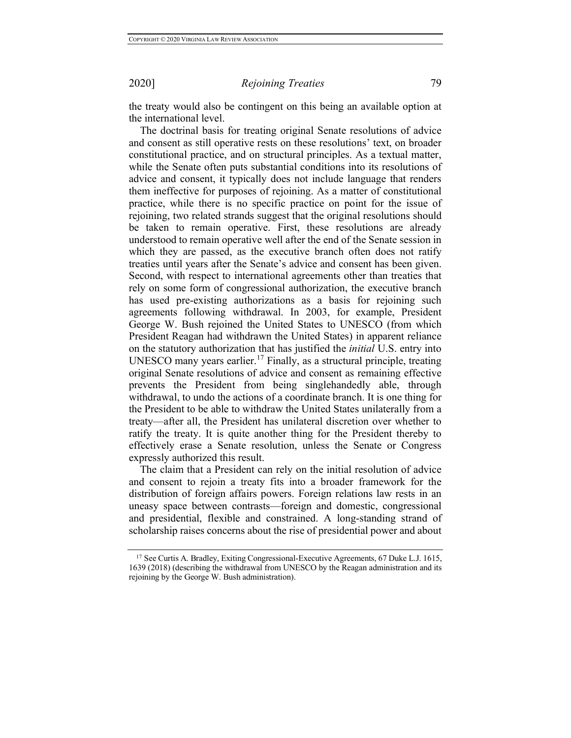the treaty would also be contingent on this being an available option at the international level.

The doctrinal basis for treating original Senate resolutions of advice and consent as still operative rests on these resolutions' text, on broader constitutional practice, and on structural principles. As a textual matter, while the Senate often puts substantial conditions into its resolutions of advice and consent, it typically does not include language that renders them ineffective for purposes of rejoining. As a matter of constitutional practice, while there is no specific practice on point for the issue of rejoining, two related strands suggest that the original resolutions should be taken to remain operative. First, these resolutions are already understood to remain operative well after the end of the Senate session in which they are passed, as the executive branch often does not ratify treaties until years after the Senate's advice and consent has been given. Second, with respect to international agreements other than treaties that rely on some form of congressional authorization, the executive branch has used pre-existing authorizations as a basis for rejoining such agreements following withdrawal. In 2003, for example, President George W. Bush rejoined the United States to UNESCO (from which President Reagan had withdrawn the United States) in apparent reliance on the statutory authorization that has justified the *initial* U.S. entry into UNESCO many years earlier.<sup>17</sup> Finally, as a structural principle, treating original Senate resolutions of advice and consent as remaining effective prevents the President from being singlehandedly able, through withdrawal, to undo the actions of a coordinate branch. It is one thing for the President to be able to withdraw the United States unilaterally from a treaty—after all, the President has unilateral discretion over whether to ratify the treaty. It is quite another thing for the President thereby to effectively erase a Senate resolution, unless the Senate or Congress expressly authorized this result.

The claim that a President can rely on the initial resolution of advice and consent to rejoin a treaty fits into a broader framework for the distribution of foreign affairs powers. Foreign relations law rests in an uneasy space between contrasts—foreign and domestic, congressional and presidential, flexible and constrained. A long-standing strand of scholarship raises concerns about the rise of presidential power and about

<sup>17</sup> See Curtis A. Bradley, Exiting Congressional-Executive Agreements, 67 Duke L.J. 1615, 1639 (2018) (describing the withdrawal from UNESCO by the Reagan administration and its rejoining by the George W. Bush administration).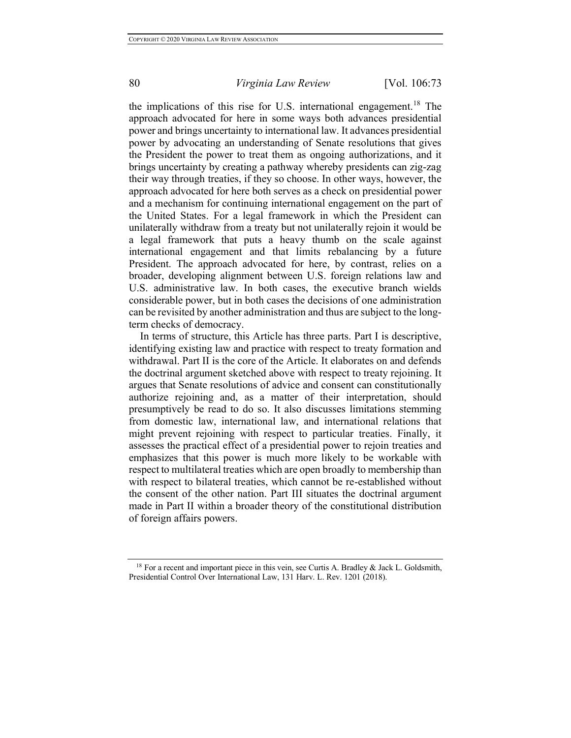the implications of this rise for U.S. international engagement.<sup>18</sup> The approach advocated for here in some ways both advances presidential power and brings uncertainty to international law. It advances presidential power by advocating an understanding of Senate resolutions that gives the President the power to treat them as ongoing authorizations, and it brings uncertainty by creating a pathway whereby presidents can zig-zag their way through treaties, if they so choose. In other ways, however, the approach advocated for here both serves as a check on presidential power and a mechanism for continuing international engagement on the part of the United States. For a legal framework in which the President can unilaterally withdraw from a treaty but not unilaterally rejoin it would be a legal framework that puts a heavy thumb on the scale against international engagement and that limits rebalancing by a future President. The approach advocated for here, by contrast, relies on a broader, developing alignment between U.S. foreign relations law and U.S. administrative law. In both cases, the executive branch wields considerable power, but in both cases the decisions of one administration can be revisited by another administration and thus are subject to the longterm checks of democracy.

In terms of structure, this Article has three parts. Part I is descriptive, identifying existing law and practice with respect to treaty formation and withdrawal. Part II is the core of the Article. It elaborates on and defends the doctrinal argument sketched above with respect to treaty rejoining. It argues that Senate resolutions of advice and consent can constitutionally authorize rejoining and, as a matter of their interpretation, should presumptively be read to do so. It also discusses limitations stemming from domestic law, international law, and international relations that might prevent rejoining with respect to particular treaties. Finally, it assesses the practical effect of a presidential power to rejoin treaties and emphasizes that this power is much more likely to be workable with respect to multilateral treaties which are open broadly to membership than with respect to bilateral treaties, which cannot be re-established without the consent of the other nation. Part III situates the doctrinal argument made in Part II within a broader theory of the constitutional distribution of foreign affairs powers.

<sup>&</sup>lt;sup>18</sup> For a recent and important piece in this vein, see Curtis A. Bradley  $\&$  Jack L. Goldsmith, Presidential Control Over International Law, 131 Harv. L. Rev. 1201 (2018).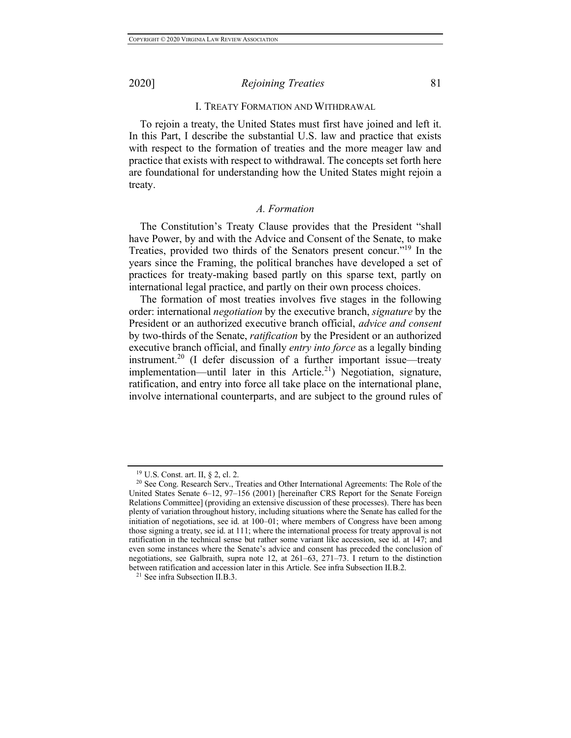#### I. TREATY FORMATION AND WITHDRAWAL

To rejoin a treaty, the United States must first have joined and left it. In this Part, I describe the substantial U.S. law and practice that exists with respect to the formation of treaties and the more meager law and practice that exists with respect to withdrawal. The concepts set forth here are foundational for understanding how the United States might rejoin a treaty.

### *A. Formation*

The Constitution's Treaty Clause provides that the President "shall have Power, by and with the Advice and Consent of the Senate, to make Treaties, provided two thirds of the Senators present concur."19 In the years since the Framing, the political branches have developed a set of practices for treaty-making based partly on this sparse text, partly on international legal practice, and partly on their own process choices.

The formation of most treaties involves five stages in the following order: international *negotiation* by the executive branch, *signature* by the President or an authorized executive branch official, *advice and consent* by two-thirds of the Senate, *ratification* by the President or an authorized executive branch official, and finally *entry into force* as a legally binding instrument.<sup>20</sup> (I defer discussion of a further important issue—treaty implementation—until later in this Article.<sup>21</sup>) Negotiation, signature, ratification, and entry into force all take place on the international plane, involve international counterparts, and are subject to the ground rules of

<sup>19</sup> U.S. Const. art. II, § 2, cl. 2.

<sup>&</sup>lt;sup>20</sup> See Cong. Research Serv., Treaties and Other International Agreements: The Role of the United States Senate 6–12, 97–156 (2001) [hereinafter CRS Report for the Senate Foreign Relations Committee] (providing an extensive discussion of these processes). There has been plenty of variation throughout history, including situations where the Senate has called for the initiation of negotiations, see id. at 100–01; where members of Congress have been among those signing a treaty, see id. at 111; where the international process for treaty approval is not ratification in the technical sense but rather some variant like accession, see id. at 147; and even some instances where the Senate's advice and consent has preceded the conclusion of negotiations, see Galbraith, supra note 12, at 261–63, 271–73. I return to the distinction between ratification and accession later in this Article. See infra Subsection II.B.2.

<sup>21</sup> See infra Subsection II.B.3.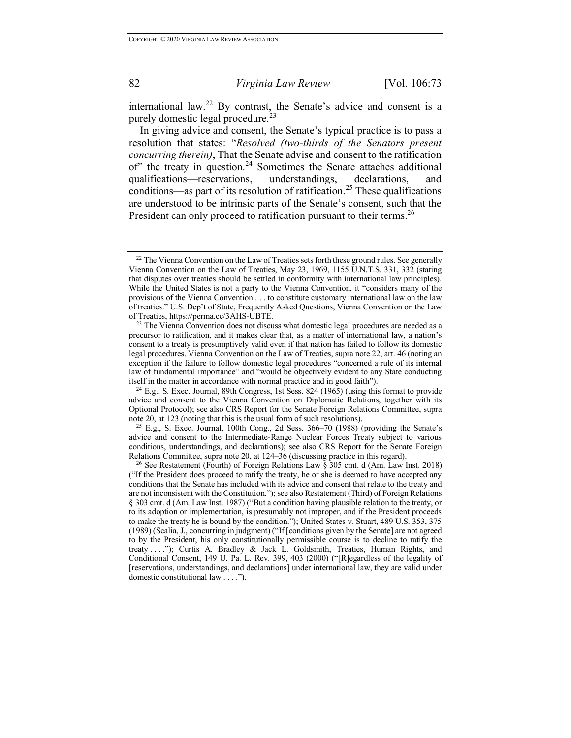international law.<sup>22</sup> By contrast, the Senate's advice and consent is a purely domestic legal procedure.<sup>23</sup>

In giving advice and consent, the Senate's typical practice is to pass a resolution that states: "*Resolved (two-thirds of the Senators present concurring therein)*, That the Senate advise and consent to the ratification of" the treaty in question.<sup>24</sup> Sometimes the Senate attaches additional qualifications—reservations, understandings, declarations, and conditions—as part of its resolution of ratification.<sup>25</sup> These qualifications are understood to be intrinsic parts of the Senate's consent, such that the President can only proceed to ratification pursuant to their terms.<sup>26</sup>

 $25$  E.g., S. Exec. Journal, 100th Cong., 2d Sess. 366–70 (1988) (providing the Senate's advice and consent to the Intermediate-Range Nuclear Forces Treaty subject to various conditions, understandings, and declarations); see also CRS Report for the Senate Foreign Relations Committee, supra note 20, at 124–36 (discussing practice in this regard).

 $2<sup>22</sup>$  The Vienna Convention on the Law of Treaties sets forth these ground rules. See generally Vienna Convention on the Law of Treaties, May 23, 1969, 1155 U.N.T.S. 331, 332 (stating that disputes over treaties should be settled in conformity with international law principles). While the United States is not a party to the Vienna Convention, it "considers many of the provisions of the Vienna Convention . . . to constitute customary international law on the law of treaties." U.S. Dep't of State, Frequently Asked Questions, Vienna Convention on the Law of Treaties, https://perma.cc/3AHS-UBTE.<br><sup>23</sup> The Vienna Convention does not discuss what domestic legal procedures are needed as a

precursor to ratification, and it makes clear that, as a matter of international law, a nation's consent to a treaty is presumptively valid even if that nation has failed to follow its domestic legal procedures. Vienna Convention on the Law of Treaties, supra note 22, art. 46 (noting an exception if the failure to follow domestic legal procedures "concerned a rule of its internal law of fundamental importance" and "would be objectively evident to any State conducting itself in the matter in accordance with normal practice and in good faith").

<sup>24</sup> E.g., S. Exec. Journal, 89th Congress, 1st Sess. 824 (1965) (using this format to provide advice and consent to the Vienna Convention on Diplomatic Relations, together with its Optional Protocol); see also CRS Report for the Senate Foreign Relations Committee, supra note 20, at 123 (noting that this is the usual form of such resolutions).

<sup>&</sup>lt;sup>26</sup> See Restatement (Fourth) of Foreign Relations Law  $\S$  305 cmt. d (Am. Law Inst. 2018) ("If the President does proceed to ratify the treaty, he or she is deemed to have accepted any conditions that the Senate has included with its advice and consent that relate to the treaty and are not inconsistent with the Constitution."); see also Restatement (Third) of Foreign Relations § 303 cmt. d (Am. Law Inst. 1987) ("But a condition having plausible relation to the treaty, or to its adoption or implementation, is presumably not improper, and if the President proceeds to make the treaty he is bound by the condition."); United States v. Stuart, 489 U.S. 353, 375 (1989) (Scalia, J., concurring in judgment) ("If [conditions given by the Senate] are not agreed to by the President, his only constitutionally permissible course is to decline to ratify the treaty . . . ."); Curtis A. Bradley & Jack L. Goldsmith, Treaties, Human Rights, and Conditional Consent, 149 U. Pa. L. Rev. 399, 403 (2000) ("[R]egardless of the legality of [reservations, understandings, and declarations] under international law, they are valid under domestic constitutional law . . . .").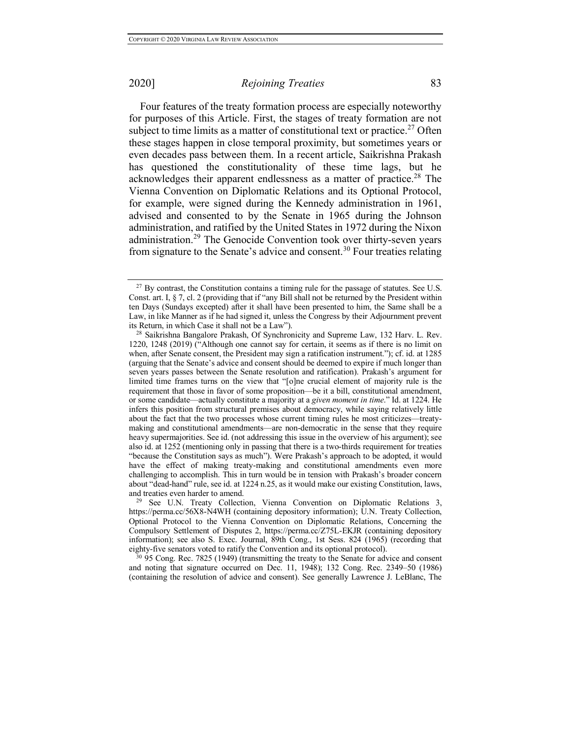Four features of the treaty formation process are especially noteworthy for purposes of this Article. First, the stages of treaty formation are not subject to time limits as a matter of constitutional text or practice.<sup>27</sup> Often these stages happen in close temporal proximity, but sometimes years or even decades pass between them. In a recent article, Saikrishna Prakash has questioned the constitutionality of these time lags, but he acknowledges their apparent endlessness as a matter of practice.<sup>28</sup> The Vienna Convention on Diplomatic Relations and its Optional Protocol, for example, were signed during the Kennedy administration in 1961, advised and consented to by the Senate in 1965 during the Johnson administration, and ratified by the United States in 1972 during the Nixon administration.<sup>29</sup> The Genocide Convention took over thirty-seven years from signature to the Senate's advice and consent.<sup>30</sup> Four treaties relating

<sup>30</sup> 95 Cong. Rec. 7825 (1949) (transmitting the treaty to the Senate for advice and consent and noting that signature occurred on Dec. 11, 1948); 132 Cong. Rec. 2349–50 (1986) (containing the resolution of advice and consent). See generally Lawrence J. LeBlanc, The

 $^{27}$  By contrast, the Constitution contains a timing rule for the passage of statutes. See U.S. Const. art. I, § 7, cl. 2 (providing that if "any Bill shall not be returned by the President within ten Days (Sundays excepted) after it shall have been presented to him, the Same shall be a Law, in like Manner as if he had signed it, unless the Congress by their Adjournment prevent its Return, in which Case it shall not be a Law").

<sup>28</sup> Saikrishna Bangalore Prakash, Of Synchronicity and Supreme Law, 132 Harv. L. Rev. 1220, 1248 (2019) ("Although one cannot say for certain, it seems as if there is no limit on when, after Senate consent, the President may sign a ratification instrument."); cf. id. at 1285 (arguing that the Senate's advice and consent should be deemed to expire if much longer than seven years passes between the Senate resolution and ratification). Prakash's argument for limited time frames turns on the view that "[o]ne crucial element of majority rule is the requirement that those in favor of some proposition—be it a bill, constitutional amendment, or some candidate—actually constitute a majority at a *given moment in time*." Id. at 1224. He infers this position from structural premises about democracy, while saying relatively little about the fact that the two processes whose current timing rules he most criticizes—treatymaking and constitutional amendments—are non-democratic in the sense that they require heavy supermajorities. See id. (not addressing this issue in the overview of his argument); see also id. at 1252 (mentioning only in passing that there is a two-thirds requirement for treaties "because the Constitution says as much"). Were Prakash's approach to be adopted, it would have the effect of making treaty-making and constitutional amendments even more challenging to accomplish. This in turn would be in tension with Prakash's broader concern about "dead-hand" rule, see id. at 1224 n.25, as it would make our existing Constitution, laws, and treaties even harder to amend.

<sup>&</sup>lt;sup>29</sup> See U.N. Treaty Collection, Vienna Convention on Diplomatic Relations 3, https://perma.cc/56X8-N4WH (containing depository information); U.N. Treaty Collection, Optional Protocol to the Vienna Convention on Diplomatic Relations, Concerning the Compulsory Settlement of Disputes 2, https://perma.cc/Z75L-EKJR (containing depository information); see also S. Exec. Journal, 89th Cong., 1st Sess. 824 (1965) (recording that eighty-five senators voted to ratify the Convention and its optional protocol).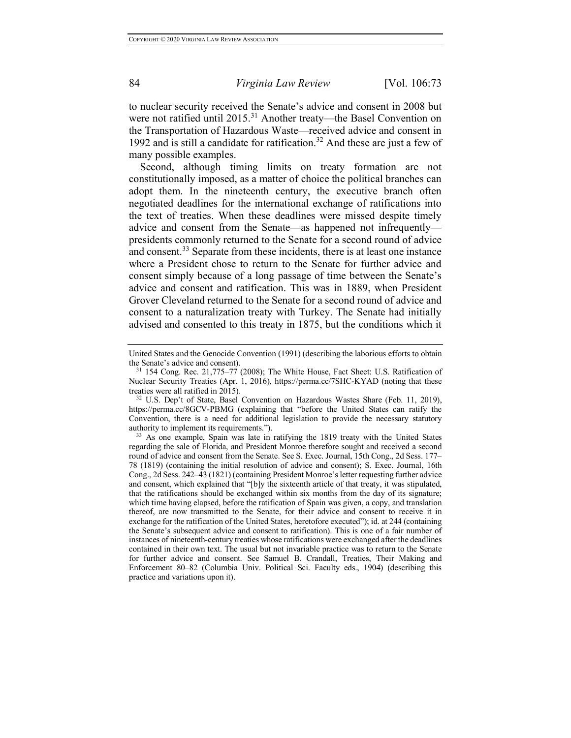to nuclear security received the Senate's advice and consent in 2008 but were not ratified until 2015.<sup>31</sup> Another treaty—the Basel Convention on the Transportation of Hazardous Waste—received advice and consent in 1992 and is still a candidate for ratification.<sup>32</sup> And these are just a few of many possible examples.

Second, although timing limits on treaty formation are not constitutionally imposed, as a matter of choice the political branches can adopt them. In the nineteenth century, the executive branch often negotiated deadlines for the international exchange of ratifications into the text of treaties. When these deadlines were missed despite timely advice and consent from the Senate—as happened not infrequently presidents commonly returned to the Senate for a second round of advice and consent.<sup>33</sup> Separate from these incidents, there is at least one instance where a President chose to return to the Senate for further advice and consent simply because of a long passage of time between the Senate's advice and consent and ratification. This was in 1889, when President Grover Cleveland returned to the Senate for a second round of advice and consent to a naturalization treaty with Turkey. The Senate had initially advised and consented to this treaty in 1875, but the conditions which it

United States and the Genocide Convention (1991) (describing the laborious efforts to obtain the Senate's advice and consent).

<sup>31</sup> 154 Cong. Rec. 21,775–77 (2008); The White House, Fact Sheet: U.S. Ratification of Nuclear Security Treaties (Apr. 1, 2016), https://perma.cc/7SHC-KYAD (noting that these treaties were all ratified in 2015).

<sup>32</sup> U.S. Dep't of State, Basel Convention on Hazardous Wastes Share (Feb. 11, 2019), https://perma.cc/8GCV-PBMG (explaining that "before the United States can ratify the Convention, there is a need for additional legislation to provide the necessary statutory authority to implement its requirements.").

<sup>&</sup>lt;sup>33</sup> As one example, Spain was late in ratifying the 1819 treaty with the United States regarding the sale of Florida, and President Monroe therefore sought and received a second round of advice and consent from the Senate. See S. Exec. Journal, 15th Cong., 2d Sess. 177– 78 (1819) (containing the initial resolution of advice and consent); S. Exec. Journal, 16th Cong., 2d Sess. 242–43 (1821) (containing President Monroe's letter requesting further advice and consent, which explained that "[b]y the sixteenth article of that treaty, it was stipulated, that the ratifications should be exchanged within six months from the day of its signature; which time having elapsed, before the ratification of Spain was given, a copy, and translation thereof, are now transmitted to the Senate, for their advice and consent to receive it in exchange for the ratification of the United States, heretofore executed"); id. at 244 (containing the Senate's subsequent advice and consent to ratification). This is one of a fair number of instances of nineteenth-century treaties whose ratifications were exchanged after the deadlines contained in their own text. The usual but not invariable practice was to return to the Senate for further advice and consent. See Samuel B. Crandall, Treaties, Their Making and Enforcement 80–82 (Columbia Univ. Political Sci. Faculty eds., 1904) (describing this practice and variations upon it).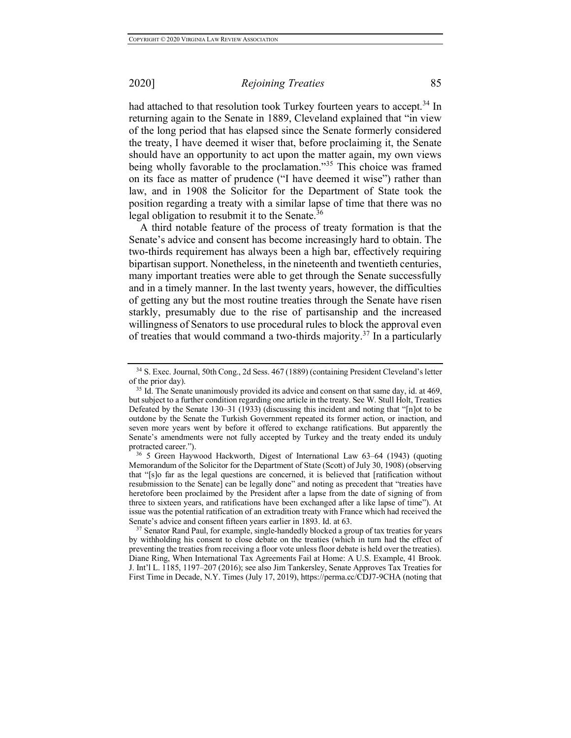had attached to that resolution took Turkey fourteen years to accept.<sup>34</sup> In returning again to the Senate in 1889, Cleveland explained that "in view of the long period that has elapsed since the Senate formerly considered the treaty, I have deemed it wiser that, before proclaiming it, the Senate should have an opportunity to act upon the matter again, my own views being wholly favorable to the proclamation."<sup>35</sup> This choice was framed on its face as matter of prudence ("I have deemed it wise") rather than law, and in 1908 the Solicitor for the Department of State took the position regarding a treaty with a similar lapse of time that there was no legal obligation to resubmit it to the Senate. $36$ 

A third notable feature of the process of treaty formation is that the Senate's advice and consent has become increasingly hard to obtain. The two-thirds requirement has always been a high bar, effectively requiring bipartisan support. Nonetheless, in the nineteenth and twentieth centuries, many important treaties were able to get through the Senate successfully and in a timely manner. In the last twenty years, however, the difficulties of getting any but the most routine treaties through the Senate have risen starkly, presumably due to the rise of partisanship and the increased willingness of Senators to use procedural rules to block the approval even of treaties that would command a two-thirds majority.<sup>37</sup> In a particularly

<sup>34</sup> S. Exec. Journal, 50th Cong., 2d Sess. 467 (1889) (containing President Cleveland's letter of the prior day).

<sup>&</sup>lt;sup>35</sup> Id. The Senate unanimously provided its advice and consent on that same day, id. at 469, but subject to a further condition regarding one article in the treaty. See W. Stull Holt, Treaties Defeated by the Senate 130–31 (1933) (discussing this incident and noting that "[n]ot to be outdone by the Senate the Turkish Government repeated its former action, or inaction, and seven more years went by before it offered to exchange ratifications. But apparently the Senate's amendments were not fully accepted by Turkey and the treaty ended its unduly protracted career.").

<sup>36</sup> 5 Green Haywood Hackworth, Digest of International Law 63–64 (1943) (quoting Memorandum of the Solicitor for the Department of State (Scott) of July 30, 1908) (observing that "[s]o far as the legal questions are concerned, it is believed that [ratification without resubmission to the Senate] can be legally done" and noting as precedent that "treaties have heretofore been proclaimed by the President after a lapse from the date of signing of from three to sixteen years, and ratifications have been exchanged after a like lapse of time"). At issue was the potential ratification of an extradition treaty with France which had received the Senate's advice and consent fifteen years earlier in 1893. Id. at 63.

<sup>&</sup>lt;sup>37</sup> Senator Rand Paul, for example, single-handedly blocked a group of tax treaties for years by withholding his consent to close debate on the treaties (which in turn had the effect of preventing the treaties from receiving a floor vote unless floor debate is held over the treaties). Diane Ring, When International Tax Agreements Fail at Home: A U.S. Example, 41 Brook. J. Int'l L. 1185, 1197–207 (2016); see also Jim Tankersley, Senate Approves Tax Treaties for First Time in Decade, N.Y. Times (July 17, 2019), https://perma.cc/CDJ7-9CHA (noting that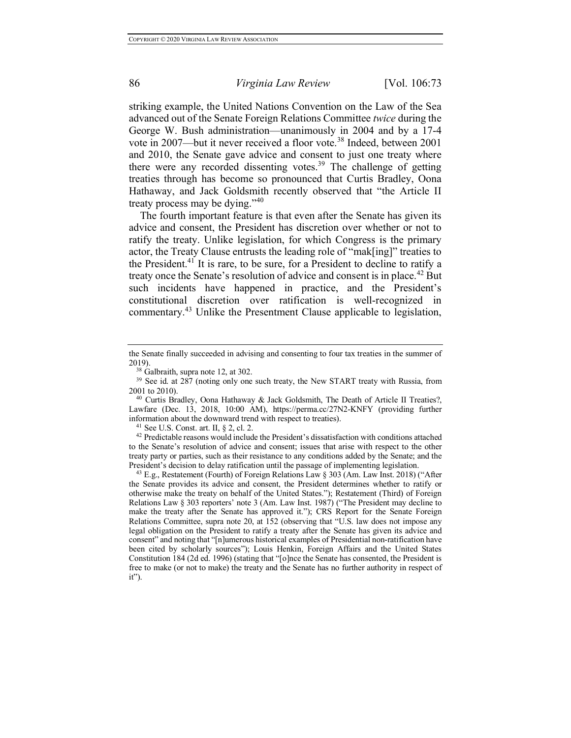striking example, the United Nations Convention on the Law of the Sea advanced out of the Senate Foreign Relations Committee *twice* during the George W. Bush administration—unanimously in 2004 and by a 17-4 vote in 2007—but it never received a floor vote.<sup>38</sup> Indeed, between 2001 and 2010, the Senate gave advice and consent to just one treaty where there were any recorded dissenting votes.<sup>39</sup> The challenge of getting treaties through has become so pronounced that Curtis Bradley, Oona Hathaway, and Jack Goldsmith recently observed that "the Article II treaty process may be dying."<sup>40</sup>

The fourth important feature is that even after the Senate has given its advice and consent, the President has discretion over whether or not to ratify the treaty. Unlike legislation, for which Congress is the primary actor, the Treaty Clause entrusts the leading role of "mak[ing]" treaties to the President.<sup>41</sup> It is rare, to be sure, for a President to decline to ratify a treaty once the Senate's resolution of advice and consent is in place.<sup>42</sup> But such incidents have happened in practice, and the President's constitutional discretion over ratification is well-recognized in commentary.<sup>43</sup> Unlike the Presentment Clause applicable to legislation,

<sup>41</sup> See U.S. Const. art. II,  $\S$  2, cl. 2.

<sup>42</sup> Predictable reasons would include the President's dissatisfaction with conditions attached to the Senate's resolution of advice and consent; issues that arise with respect to the other treaty party or parties, such as their resistance to any conditions added by the Senate; and the President's decision to delay ratification until the passage of implementing legislation.

<sup>43</sup> E.g., Restatement (Fourth) of Foreign Relations Law § 303 (Am. Law Inst. 2018) ("After the Senate provides its advice and consent, the President determines whether to ratify or otherwise make the treaty on behalf of the United States."); Restatement (Third) of Foreign Relations Law § 303 reporters' note 3 (Am. Law Inst. 1987) ("The President may decline to make the treaty after the Senate has approved it."); CRS Report for the Senate Foreign Relations Committee, supra note 20, at 152 (observing that "U.S. law does not impose any legal obligation on the President to ratify a treaty after the Senate has given its advice and consent" and noting that "[n]umerous historical examples of Presidential non-ratification have been cited by scholarly sources"); Louis Henkin, Foreign Affairs and the United States Constitution 184 (2d ed. 1996) (stating that "[o]nce the Senate has consented, the President is free to make (or not to make) the treaty and the Senate has no further authority in respect of it").

the Senate finally succeeded in advising and consenting to four tax treaties in the summer of 2019).

<sup>38</sup> Galbraith, supra note 12, at 302.

<sup>&</sup>lt;sup>39</sup> See id. at 287 (noting only one such treaty, the New START treaty with Russia, from 2001 to 2010). 40 Curtis Bradley, Oona Hathaway & Jack Goldsmith, The Death of Article II Treaties?,

Lawfare (Dec. 13, 2018, 10:00 AM), https://perma.cc/27N2-KNFY (providing further information about the downward trend with respect to treaties).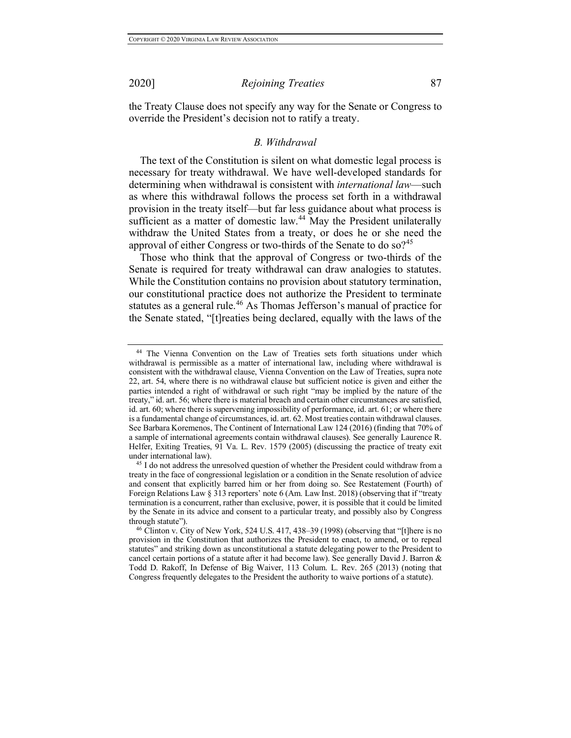the Treaty Clause does not specify any way for the Senate or Congress to override the President's decision not to ratify a treaty.

#### *B. Withdrawal*

The text of the Constitution is silent on what domestic legal process is necessary for treaty withdrawal. We have well-developed standards for determining when withdrawal is consistent with *international law*—such as where this withdrawal follows the process set forth in a withdrawal provision in the treaty itself—but far less guidance about what process is sufficient as a matter of domestic law.<sup>44</sup> May the President unilaterally withdraw the United States from a treaty, or does he or she need the approval of either Congress or two-thirds of the Senate to do so?<sup>45</sup>

Those who think that the approval of Congress or two-thirds of the Senate is required for treaty withdrawal can draw analogies to statutes. While the Constitution contains no provision about statutory termination, our constitutional practice does not authorize the President to terminate statutes as a general rule.<sup>46</sup> As Thomas Jefferson's manual of practice for the Senate stated, "[t]reaties being declared, equally with the laws of the

<sup>44</sup> The Vienna Convention on the Law of Treaties sets forth situations under which withdrawal is permissible as a matter of international law, including where withdrawal is consistent with the withdrawal clause, Vienna Convention on the Law of Treaties, supra note 22, art. 54, where there is no withdrawal clause but sufficient notice is given and either the parties intended a right of withdrawal or such right "may be implied by the nature of the treaty," id. art. 56; where there is material breach and certain other circumstances are satisfied, id. art. 60; where there is supervening impossibility of performance, id. art. 61; or where there is a fundamental change of circumstances, id. art. 62. Most treaties contain withdrawal clauses. See Barbara Koremenos, The Continent of International Law 124 (2016) (finding that 70% of a sample of international agreements contain withdrawal clauses). See generally Laurence R. Helfer, Exiting Treaties, 91 Va. L. Rev. 1579 (2005) (discussing the practice of treaty exit under international law).

<sup>45</sup> I do not address the unresolved question of whether the President could withdraw from a treaty in the face of congressional legislation or a condition in the Senate resolution of advice and consent that explicitly barred him or her from doing so. See Restatement (Fourth) of Foreign Relations Law § 313 reporters' note 6 (Am. Law Inst. 2018) (observing that if "treaty termination is a concurrent, rather than exclusive, power, it is possible that it could be limited by the Senate in its advice and consent to a particular treaty, and possibly also by Congress through statute").

 $46$  Clinton v. City of New York, 524 U.S. 417, 438–39 (1998) (observing that "[t]here is no provision in the Constitution that authorizes the President to enact, to amend, or to repeal statutes" and striking down as unconstitutional a statute delegating power to the President to cancel certain portions of a statute after it had become law). See generally David J. Barron & Todd D. Rakoff, In Defense of Big Waiver, 113 Colum. L. Rev. 265 (2013) (noting that Congress frequently delegates to the President the authority to waive portions of a statute).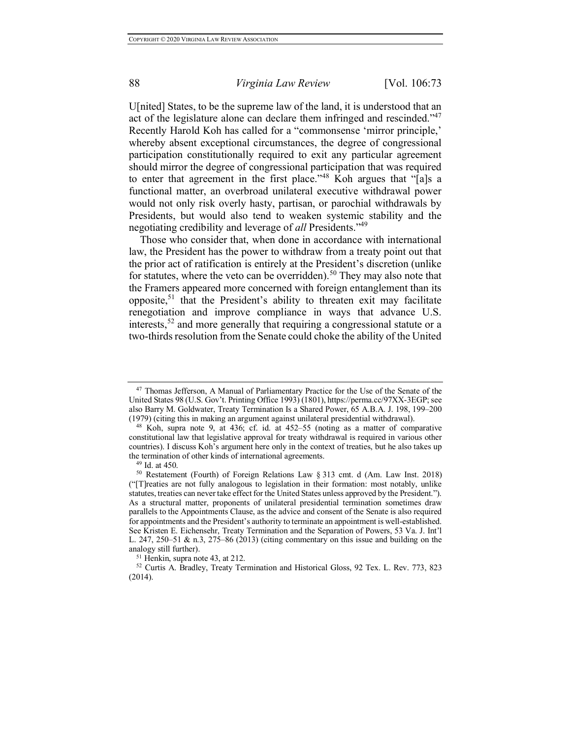U[nited] States, to be the supreme law of the land, it is understood that an act of the legislature alone can declare them infringed and rescinded."47 Recently Harold Koh has called for a "commonsense 'mirror principle,' whereby absent exceptional circumstances, the degree of congressional participation constitutionally required to exit any particular agreement should mirror the degree of congressional participation that was required to enter that agreement in the first place."<sup>48</sup> Koh argues that "[a]s a functional matter, an overbroad unilateral executive withdrawal power would not only risk overly hasty, partisan, or parochial withdrawals by Presidents, but would also tend to weaken systemic stability and the negotiating credibility and leverage of *all* Presidents."49

Those who consider that, when done in accordance with international law, the President has the power to withdraw from a treaty point out that the prior act of ratification is entirely at the President's discretion (unlike for statutes, where the veto can be overridden).<sup>50</sup> They may also note that the Framers appeared more concerned with foreign entanglement than its opposite,<sup>51</sup> that the President's ability to threaten exit may facilitate renegotiation and improve compliance in ways that advance U.S. interests,<sup>52</sup> and more generally that requiring a congressional statute or a two-thirds resolution from the Senate could choke the ability of the United

<sup>47</sup> Thomas Jefferson, A Manual of Parliamentary Practice for the Use of the Senate of the United States 98 (U.S. Gov't. Printing Office 1993) (1801), https://perma.cc/97XX-3EGP; see also Barry M. Goldwater, Treaty Termination Is a Shared Power, 65 A.B.A. J. 198, 199–200 (1979) (citing this in making an argument against unilateral presidential withdrawal).

<sup>48</sup> Koh, supra note 9, at 436; cf. id. at 452–55 (noting as a matter of comparative constitutional law that legislative approval for treaty withdrawal is required in various other countries). I discuss Koh's argument here only in the context of treaties, but he also takes up the termination of other kinds of international agreements.

 $49$  Id. at 450.

<sup>50</sup> Restatement (Fourth) of Foreign Relations Law § 313 cmt. d (Am. Law Inst. 2018) ("[T]reaties are not fully analogous to legislation in their formation: most notably, unlike statutes, treaties can never take effect for the United States unless approved by the President."). As a structural matter, proponents of unilateral presidential termination sometimes draw parallels to the Appointments Clause, as the advice and consent of the Senate is also required for appointments and the President's authority to terminate an appointment is well-established. See Kristen E. Eichensehr, Treaty Termination and the Separation of Powers, 53 Va. J. Int'l L. 247, 250–51 & n.3, 275–86 (2013) (citing commentary on this issue and building on the analogy still further).

<sup>51</sup> Henkin, supra note 43, at 212.

<sup>52</sup> Curtis A. Bradley, Treaty Termination and Historical Gloss, 92 Tex. L. Rev. 773, 823 (2014).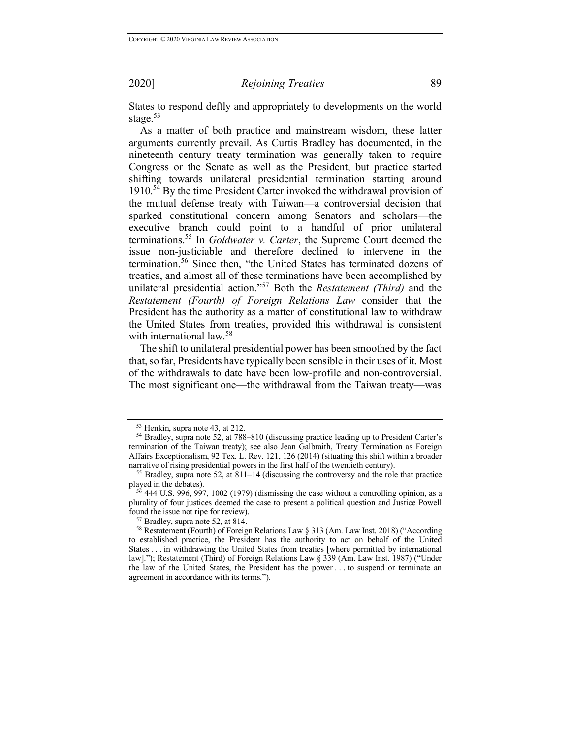States to respond deftly and appropriately to developments on the world stage.<sup>53</sup>

As a matter of both practice and mainstream wisdom, these latter arguments currently prevail. As Curtis Bradley has documented, in the nineteenth century treaty termination was generally taken to require Congress or the Senate as well as the President, but practice started shifting towards unilateral presidential termination starting around  $1910<sup>54</sup>$  By the time President Carter invoked the withdrawal provision of the mutual defense treaty with Taiwan—a controversial decision that sparked constitutional concern among Senators and scholars—the executive branch could point to a handful of prior unilateral terminations.<sup>55</sup> In *Goldwater v. Carter*, the Supreme Court deemed the issue non-justiciable and therefore declined to intervene in the termination.<sup>56</sup> Since then, "the United States has terminated dozens of treaties, and almost all of these terminations have been accomplished by unilateral presidential action."<sup>57</sup> Both the *Restatement (Third)* and the *Restatement (Fourth) of Foreign Relations Law* consider that the President has the authority as a matter of constitutional law to withdraw the United States from treaties, provided this withdrawal is consistent with international law.<sup>58</sup>

The shift to unilateral presidential power has been smoothed by the fact that, so far, Presidents have typically been sensible in their uses of it. Most of the withdrawals to date have been low-profile and non-controversial. The most significant one—the withdrawal from the Taiwan treaty—was

<sup>53</sup> Henkin, supra note 43, at 212.

<sup>54</sup> Bradley, supra note 52, at 788–810 (discussing practice leading up to President Carter's termination of the Taiwan treaty); see also Jean Galbraith, Treaty Termination as Foreign Affairs Exceptionalism, 92 Tex. L. Rev. 121, 126 (2014) (situating this shift within a broader narrative of rising presidential powers in the first half of the twentieth century).

<sup>55</sup> Bradley, supra note 52, at 811–14 (discussing the controversy and the role that practice played in the debates).

 $56$  444 U.S. 996, 997, 1002 (1979) (dismissing the case without a controlling opinion, as a plurality of four justices deemed the case to present a political question and Justice Powell found the issue not ripe for review).

<sup>57</sup> Bradley, supra note 52, at 814. 58 Restatement (Fourth) of Foreign Relations Law § 313 (Am. Law Inst. 2018) ("According to established practice, the President has the authority to act on behalf of the United States . . . in withdrawing the United States from treaties [where permitted by international law]."); Restatement (Third) of Foreign Relations Law § 339 (Am. Law Inst. 1987) ("Under the law of the United States, the President has the power . . . to suspend or terminate an agreement in accordance with its terms.").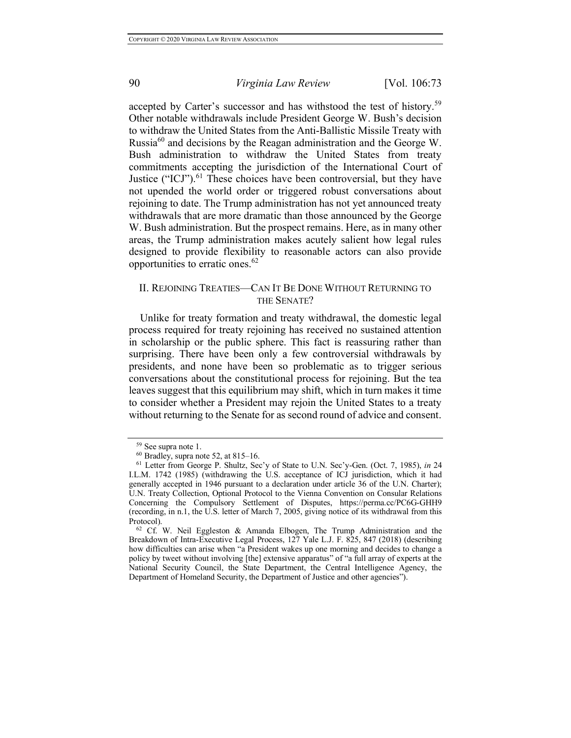accepted by Carter's successor and has withstood the test of history.<sup>59</sup> Other notable withdrawals include President George W. Bush's decision to withdraw the United States from the Anti-Ballistic Missile Treaty with Russia<sup>60</sup> and decisions by the Reagan administration and the George W. Bush administration to withdraw the United States from treaty commitments accepting the jurisdiction of the International Court of Justice ("ICJ").<sup>61</sup> These choices have been controversial, but they have not upended the world order or triggered robust conversations about rejoining to date. The Trump administration has not yet announced treaty withdrawals that are more dramatic than those announced by the George W. Bush administration. But the prospect remains. Here, as in many other areas, the Trump administration makes acutely salient how legal rules designed to provide flexibility to reasonable actors can also provide opportunities to erratic ones.<sup>62</sup>

## II. REJOINING TREATIES—CAN IT BE DONE WITHOUT RETURNING TO THE SENATE?

Unlike for treaty formation and treaty withdrawal, the domestic legal process required for treaty rejoining has received no sustained attention in scholarship or the public sphere. This fact is reassuring rather than surprising. There have been only a few controversial withdrawals by presidents, and none have been so problematic as to trigger serious conversations about the constitutional process for rejoining. But the tea leaves suggest that this equilibrium may shift, which in turn makes it time to consider whether a President may rejoin the United States to a treaty without returning to the Senate for as second round of advice and consent.

<sup>59</sup> See supra note 1.

 $60$  Bradley, supra note 52, at 815–16.

<sup>61</sup> Letter from George P. Shultz, Sec'y of State to U.N. Sec'y-Gen. (Oct. 7, 1985), *in* 24 I.L.M. 1742 (1985) (withdrawing the U.S. acceptance of ICJ jurisdiction, which it had generally accepted in 1946 pursuant to a declaration under article 36 of the U.N. Charter); U.N. Treaty Collection, Optional Protocol to the Vienna Convention on Consular Relations Concerning the Compulsory Settlement of Disputes, https://perma.cc/PC6G-GHH9 (recording, in n.1, the U.S. letter of March 7, 2005, giving notice of its withdrawal from this Protocol).<br><sup>62</sup> Cf. W. Neil Eggleston & Amanda Elbogen, The Trump Administration and the

Breakdown of Intra-Executive Legal Process, 127 Yale L.J. F. 825, 847 (2018) (describing how difficulties can arise when "a President wakes up one morning and decides to change a policy by tweet without involving [the] extensive apparatus" of "a full array of experts at the National Security Council, the State Department, the Central Intelligence Agency, the Department of Homeland Security, the Department of Justice and other agencies").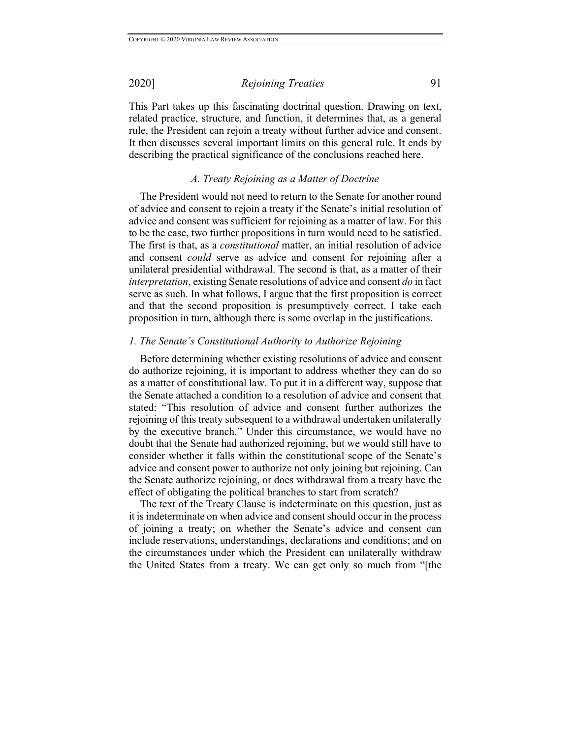This Part takes up this fascinating doctrinal question. Drawing on text, related practice, structure, and function, it determines that, as a general rule, the President can rejoin a treaty without further advice and consent. It then discusses several important limits on this general rule. It ends by describing the practical significance of the conclusions reached here.

## *A. Treaty Rejoining as a Matter of Doctrine*

The President would not need to return to the Senate for another round of advice and consent to rejoin a treaty if the Senate's initial resolution of advice and consent was sufficient for rejoining as a matter of law. For this to be the case, two further propositions in turn would need to be satisfied. The first is that, as a *constitutional* matter, an initial resolution of advice and consent *could* serve as advice and consent for rejoining after a unilateral presidential withdrawal. The second is that, as a matter of their *interpretation*, existing Senate resolutions of advice and consent *do* in fact serve as such. In what follows, I argue that the first proposition is correct and that the second proposition is presumptively correct. I take each proposition in turn, although there is some overlap in the justifications.

### *1. The Senate's Constitutional Authority to Authorize Rejoining*

Before determining whether existing resolutions of advice and consent do authorize rejoining, it is important to address whether they can do so as a matter of constitutional law. To put it in a different way, suppose that the Senate attached a condition to a resolution of advice and consent that stated: "This resolution of advice and consent further authorizes the rejoining of this treaty subsequent to a withdrawal undertaken unilaterally by the executive branch." Under this circumstance, we would have no doubt that the Senate had authorized rejoining, but we would still have to consider whether it falls within the constitutional scope of the Senate's advice and consent power to authorize not only joining but rejoining. Can the Senate authorize rejoining, or does withdrawal from a treaty have the effect of obligating the political branches to start from scratch?

The text of the Treaty Clause is indeterminate on this question, just as it is indeterminate on when advice and consent should occur in the process of joining a treaty; on whether the Senate's advice and consent can include reservations, understandings, declarations and conditions; and on the circumstances under which the President can unilaterally withdraw the United States from a treaty. We can get only so much from "[the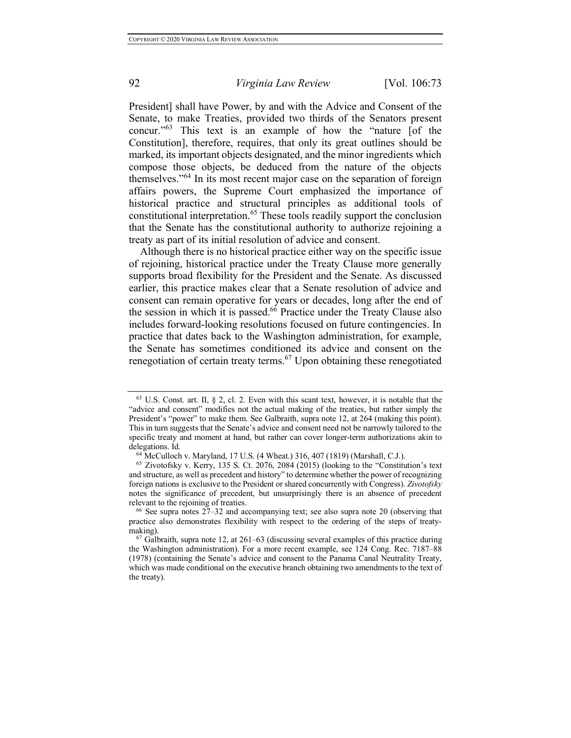President] shall have Power, by and with the Advice and Consent of the Senate, to make Treaties, provided two thirds of the Senators present concur."<sup>63</sup> This text is an example of how the "nature [of the Constitution], therefore, requires, that only its great outlines should be marked, its important objects designated, and the minor ingredients which compose those objects, be deduced from the nature of the objects themselves."<sup>64</sup> In its most recent major case on the separation of foreign affairs powers, the Supreme Court emphasized the importance of historical practice and structural principles as additional tools of constitutional interpretation.<sup>65</sup> These tools readily support the conclusion that the Senate has the constitutional authority to authorize rejoining a treaty as part of its initial resolution of advice and consent.

Although there is no historical practice either way on the specific issue of rejoining, historical practice under the Treaty Clause more generally supports broad flexibility for the President and the Senate. As discussed earlier, this practice makes clear that a Senate resolution of advice and consent can remain operative for years or decades, long after the end of the session in which it is passed.<sup>66</sup> Practice under the Treaty Clause also includes forward-looking resolutions focused on future contingencies. In practice that dates back to the Washington administration, for example, the Senate has sometimes conditioned its advice and consent on the renegotiation of certain treaty terms.<sup>67</sup> Upon obtaining these renegotiated

 $63$  U.S. Const. art. II,  $\S$  2, cl. 2. Even with this scant text, however, it is notable that the "advice and consent" modifies not the actual making of the treaties, but rather simply the President's "power" to make them. See Galbraith, supra note 12, at 264 (making this point). This in turn suggests that the Senate's advice and consent need not be narrowly tailored to the specific treaty and moment at hand, but rather can cover longer-term authorizations akin to delegations. Id. 64 McCulloch v. Maryland, 17 U.S. (4 Wheat.) 316, 407 (1819) (Marshall, C.J.).

 $65$  Zivotofsky v. Kerry, 135 S. Ct. 2076, 2084 (2015) (looking to the "Constitution's text" and structure, as well as precedent and history" to determine whether the power of recognizing foreign nations is exclusive to the President or shared concurrently with Congress). *Zivotofsky* notes the significance of precedent, but unsurprisingly there is an absence of precedent relevant to the rejoining of treaties.

<sup>&</sup>lt;sup>66</sup> See supra notes  $27-32$  and accompanying text; see also supra note 20 (observing that practice also demonstrates flexibility with respect to the ordering of the steps of treatymaking).

 $67$  Galbraith, supra note 12, at 261–63 (discussing several examples of this practice during the Washington administration). For a more recent example, see 124 Cong. Rec. 7187–88 (1978) (containing the Senate's advice and consent to the Panama Canal Neutrality Treaty, which was made conditional on the executive branch obtaining two amendments to the text of the treaty).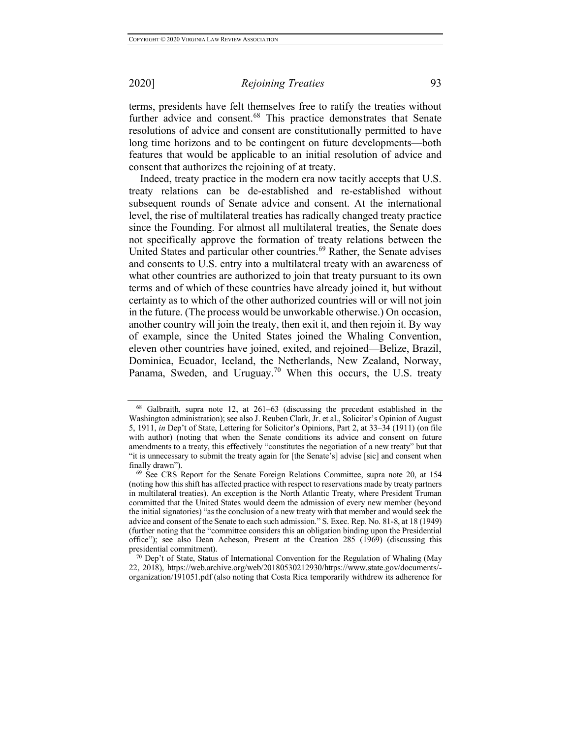terms, presidents have felt themselves free to ratify the treaties without further advice and consent.<sup>68</sup> This practice demonstrates that Senate resolutions of advice and consent are constitutionally permitted to have long time horizons and to be contingent on future developments—both features that would be applicable to an initial resolution of advice and consent that authorizes the rejoining of at treaty.

Indeed, treaty practice in the modern era now tacitly accepts that U.S. treaty relations can be de-established and re-established without subsequent rounds of Senate advice and consent. At the international level, the rise of multilateral treaties has radically changed treaty practice since the Founding. For almost all multilateral treaties, the Senate does not specifically approve the formation of treaty relations between the United States and particular other countries.<sup>69</sup> Rather, the Senate advises and consents to U.S. entry into a multilateral treaty with an awareness of what other countries are authorized to join that treaty pursuant to its own terms and of which of these countries have already joined it, but without certainty as to which of the other authorized countries will or will not join in the future. (The process would be unworkable otherwise.) On occasion, another country will join the treaty, then exit it, and then rejoin it. By way of example, since the United States joined the Whaling Convention, eleven other countries have joined, exited, and rejoined—Belize, Brazil, Dominica, Ecuador, Iceland, the Netherlands, New Zealand, Norway, Panama, Sweden, and Uruguay.<sup>70</sup> When this occurs, the U.S. treaty

<sup>68</sup> Galbraith, supra note 12, at 261–63 (discussing the precedent established in the Washington administration); see also J. Reuben Clark, Jr. et al., Solicitor's Opinion of August 5, 1911, *in* Dep't of State, Lettering for Solicitor's Opinions, Part 2, at 33–34 (1911) (on file with author) (noting that when the Senate conditions its advice and consent on future amendments to a treaty, this effectively "constitutes the negotiation of a new treaty" but that "it is unnecessary to submit the treaty again for [the Senate's] advise [sic] and consent when finally drawn").

<sup>69</sup> See CRS Report for the Senate Foreign Relations Committee, supra note 20, at 154 (noting how this shift has affected practice with respect to reservations made by treaty partners in multilateral treaties). An exception is the North Atlantic Treaty, where President Truman committed that the United States would deem the admission of every new member (beyond the initial signatories) "as the conclusion of a new treaty with that member and would seek the advice and consent of the Senate to each such admission." S. Exec. Rep. No. 81-8, at 18 (1949) (further noting that the "committee considers this an obligation binding upon the Presidential office"); see also Dean Acheson, Present at the Creation 285 (1969) (discussing this presidential commitment).

<sup>70</sup> Dep't of State, Status of International Convention for the Regulation of Whaling (May 22, 2018), https://web.archive.org/web/20180530212930/https://www.state.gov/documents/ organization/191051.pdf (also noting that Costa Rica temporarily withdrew its adherence for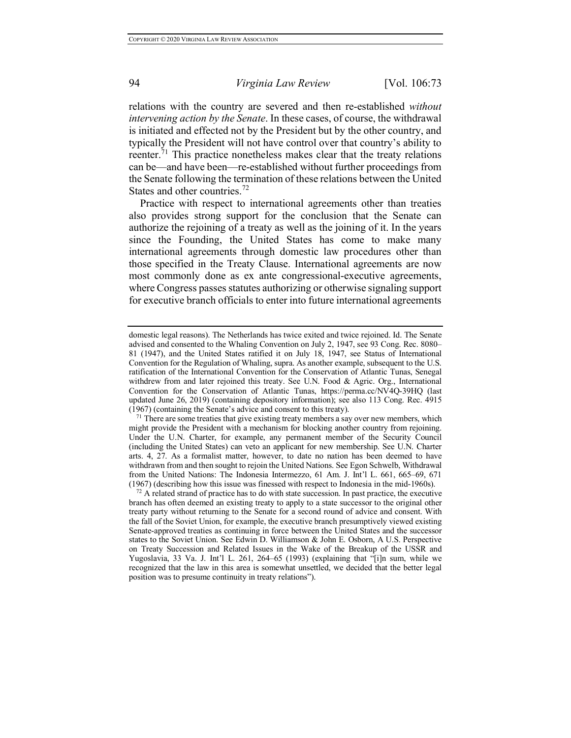relations with the country are severed and then re-established *without intervening action by the Senate*. In these cases, of course, the withdrawal is initiated and effected not by the President but by the other country, and typically the President will not have control over that country's ability to reenter.<sup>71</sup> This practice nonetheless makes clear that the treaty relations can be—and have been—re-established without further proceedings from the Senate following the termination of these relations between the United States and other countries.<sup>72</sup>

Practice with respect to international agreements other than treaties also provides strong support for the conclusion that the Senate can authorize the rejoining of a treaty as well as the joining of it. In the years since the Founding, the United States has come to make many international agreements through domestic law procedures other than those specified in the Treaty Clause. International agreements are now most commonly done as ex ante congressional-executive agreements, where Congress passes statutes authorizing or otherwise signaling support for executive branch officials to enter into future international agreements

domestic legal reasons). The Netherlands has twice exited and twice rejoined. Id. The Senate advised and consented to the Whaling Convention on July 2, 1947, see 93 Cong. Rec. 8080– 81 (1947), and the United States ratified it on July 18, 1947, see Status of International Convention for the Regulation of Whaling, supra. As another example, subsequent to the U.S. ratification of the International Convention for the Conservation of Atlantic Tunas, Senegal withdrew from and later rejoined this treaty. See U.N. Food & Agric. Org., International Convention for the Conservation of Atlantic Tunas, https://perma.cc/NV4Q-39HQ (last updated June 26, 2019) (containing depository information); see also 113 Cong. Rec. 4915 (1967) (containing the Senate's advice and consent to this treaty).

 $71$  There are some treaties that give existing treaty members a say over new members, which might provide the President with a mechanism for blocking another country from rejoining. Under the U.N. Charter, for example, any permanent member of the Security Council (including the United States) can veto an applicant for new membership. See U.N. Charter arts. 4, 27. As a formalist matter, however, to date no nation has been deemed to have withdrawn from and then sought to rejoin the United Nations. See Egon Schwelb, Withdrawal from the United Nations: The Indonesia Intermezzo, 61 Am. J. Int'l L. 661, 665–69, 671 (1967) (describing how this issue was finessed with respect to Indonesia in the mid-1960s).

 $<sup>72</sup>$  A related strand of practice has to do with state succession. In past practice, the executive</sup> branch has often deemed an existing treaty to apply to a state successor to the original other treaty party without returning to the Senate for a second round of advice and consent. With the fall of the Soviet Union, for example, the executive branch presumptively viewed existing Senate-approved treaties as continuing in force between the United States and the successor states to the Soviet Union. See Edwin D. Williamson & John E. Osborn, A U.S. Perspective on Treaty Succession and Related Issues in the Wake of the Breakup of the USSR and Yugoslavia, 33 Va. J. Int'l L. 261, 264–65 (1993) (explaining that "[i]n sum, while we recognized that the law in this area is somewhat unsettled, we decided that the better legal position was to presume continuity in treaty relations").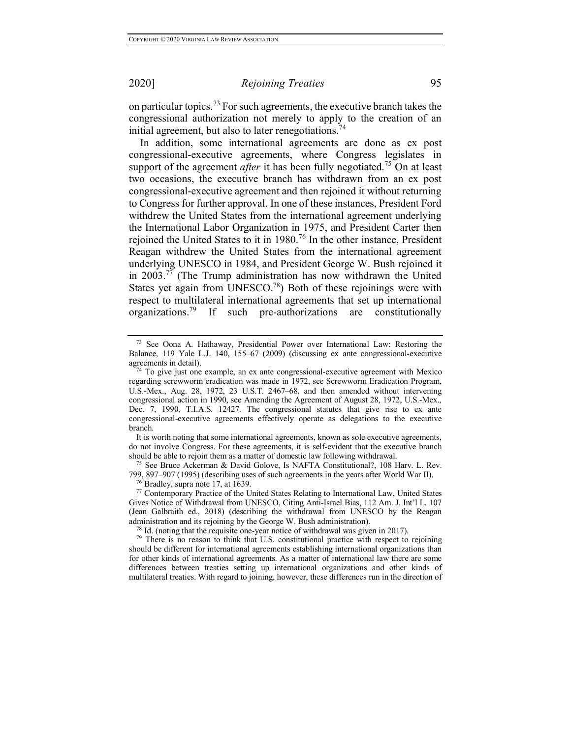on particular topics.<sup>73</sup> For such agreements, the executive branch takes the congressional authorization not merely to apply to the creation of an initial agreement, but also to later renegotiations.<sup>74</sup>

In addition, some international agreements are done as ex post congressional-executive agreements, where Congress legislates in support of the agreement *after* it has been fully negotiated.<sup>75</sup> On at least two occasions, the executive branch has withdrawn from an ex post congressional-executive agreement and then rejoined it without returning to Congress for further approval. In one of these instances, President Ford withdrew the United States from the international agreement underlying the International Labor Organization in 1975, and President Carter then rejoined the United States to it in  $1980$ .<sup>76</sup> In the other instance, President Reagan withdrew the United States from the international agreement underlying UNESCO in 1984, and President George W. Bush rejoined it in 2003.77 (The Trump administration has now withdrawn the United States yet again from UNESCO.<sup>78</sup>) Both of these rejoinings were with respect to multilateral international agreements that set up international organizations.<sup>79</sup> If such pre-authorizations are constitutionally

It is worth noting that some international agreements, known as sole executive agreements, do not involve Congress. For these agreements, it is self-evident that the executive branch should be able to rejoin them as a matter of domestic law following withdrawal.

<sup>75</sup> See Bruce Ackerman & David Golove, Is NAFTA Constitutional?, 108 Harv. L. Rev. 799, 897–907 (1995) (describing uses of such agreements in the years after World War II).

<sup>76</sup> Bradley, supra note 17, at 1639.

<sup>77</sup> Contemporary Practice of the United States Relating to International Law, United States Gives Notice of Withdrawal from UNESCO, Citing Anti-Israel Bias, 112 Am. J. Int'l L. 107 (Jean Galbraith ed., 2018) (describing the withdrawal from UNESCO by the Reagan administration and its rejoining by the George W. Bush administration).

<sup>78</sup> Id. (noting that the requisite one-year notice of withdrawal was given in 2017).

<sup>79</sup> There is no reason to think that U.S. constitutional practice with respect to rejoining should be different for international agreements establishing international organizations than for other kinds of international agreements. As a matter of international law there are some differences between treaties setting up international organizations and other kinds of multilateral treaties. With regard to joining, however, these differences run in the direction of

<sup>73</sup> See Oona A. Hathaway, Presidential Power over International Law: Restoring the Balance, 119 Yale L.J. 140, 155–67 (2009) (discussing ex ante congressional-executive agreements in detail).

 $74$  To give just one example, an ex ante congressional-executive agreement with Mexico regarding screwworm eradication was made in 1972, see Screwworm Eradication Program, U.S.-Mex., Aug. 28, 1972, 23 U.S.T. 2467–68, and then amended without intervening congressional action in 1990, see Amending the Agreement of August 28, 1972, U.S.-Mex., Dec. 7, 1990, T.I.A.S. 12427. The congressional statutes that give rise to ex ante congressional-executive agreements effectively operate as delegations to the executive branch.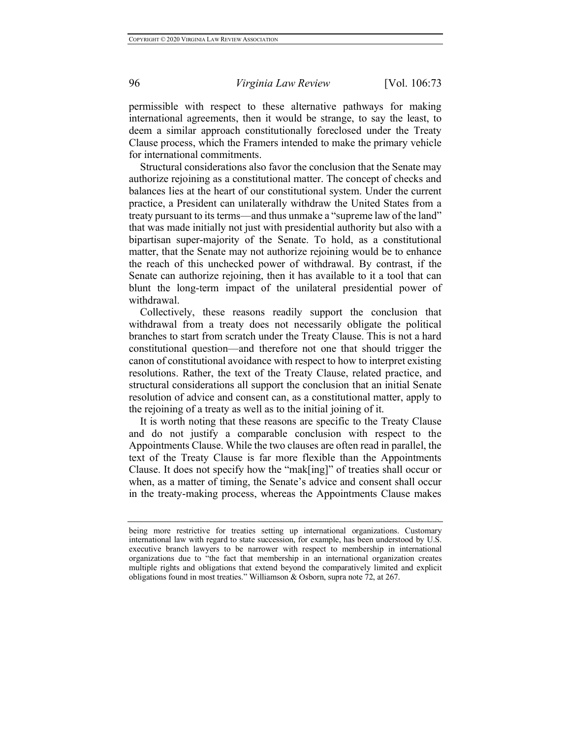permissible with respect to these alternative pathways for making international agreements, then it would be strange, to say the least, to deem a similar approach constitutionally foreclosed under the Treaty Clause process, which the Framers intended to make the primary vehicle for international commitments.

Structural considerations also favor the conclusion that the Senate may authorize rejoining as a constitutional matter. The concept of checks and balances lies at the heart of our constitutional system. Under the current practice, a President can unilaterally withdraw the United States from a treaty pursuant to its terms—and thus unmake a "supreme law of the land" that was made initially not just with presidential authority but also with a bipartisan super-majority of the Senate. To hold, as a constitutional matter, that the Senate may not authorize rejoining would be to enhance the reach of this unchecked power of withdrawal. By contrast, if the Senate can authorize rejoining, then it has available to it a tool that can blunt the long-term impact of the unilateral presidential power of withdrawal.

Collectively, these reasons readily support the conclusion that withdrawal from a treaty does not necessarily obligate the political branches to start from scratch under the Treaty Clause. This is not a hard constitutional question—and therefore not one that should trigger the canon of constitutional avoidance with respect to how to interpret existing resolutions. Rather, the text of the Treaty Clause, related practice, and structural considerations all support the conclusion that an initial Senate resolution of advice and consent can, as a constitutional matter, apply to the rejoining of a treaty as well as to the initial joining of it.

It is worth noting that these reasons are specific to the Treaty Clause and do not justify a comparable conclusion with respect to the Appointments Clause. While the two clauses are often read in parallel, the text of the Treaty Clause is far more flexible than the Appointments Clause. It does not specify how the "mak[ing]" of treaties shall occur or when, as a matter of timing, the Senate's advice and consent shall occur in the treaty-making process, whereas the Appointments Clause makes

being more restrictive for treaties setting up international organizations. Customary international law with regard to state succession, for example, has been understood by U.S. executive branch lawyers to be narrower with respect to membership in international organizations due to "the fact that membership in an international organization creates multiple rights and obligations that extend beyond the comparatively limited and explicit obligations found in most treaties." Williamson & Osborn, supra note 72, at 267.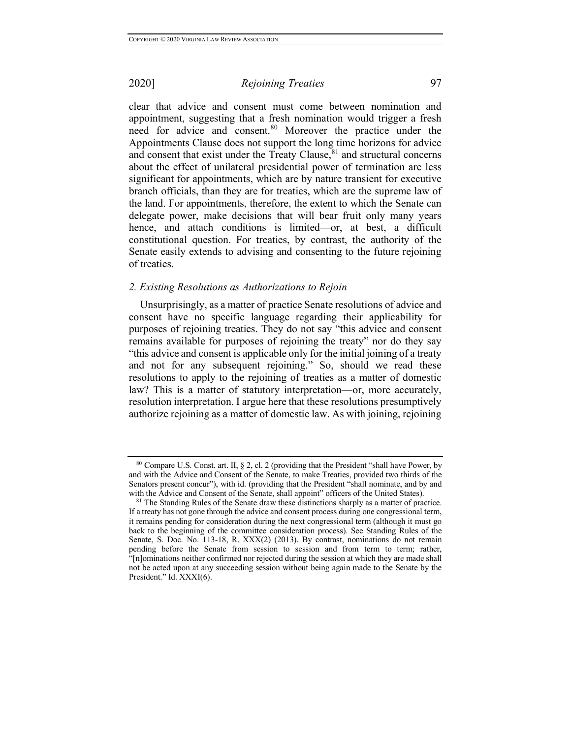clear that advice and consent must come between nomination and appointment, suggesting that a fresh nomination would trigger a fresh need for advice and consent.<sup>80</sup> Moreover the practice under the Appointments Clause does not support the long time horizons for advice and consent that exist under the Treaty Clause, $81$  and structural concerns about the effect of unilateral presidential power of termination are less significant for appointments, which are by nature transient for executive branch officials, than they are for treaties, which are the supreme law of the land. For appointments, therefore, the extent to which the Senate can delegate power, make decisions that will bear fruit only many years hence, and attach conditions is limited—or, at best, a difficult constitutional question. For treaties, by contrast, the authority of the Senate easily extends to advising and consenting to the future rejoining of treaties.

### *2. Existing Resolutions as Authorizations to Rejoin*

Unsurprisingly, as a matter of practice Senate resolutions of advice and consent have no specific language regarding their applicability for purposes of rejoining treaties. They do not say "this advice and consent remains available for purposes of rejoining the treaty" nor do they say "this advice and consent is applicable only for the initial joining of a treaty and not for any subsequent rejoining." So, should we read these resolutions to apply to the rejoining of treaties as a matter of domestic law? This is a matter of statutory interpretation—or, more accurately, resolution interpretation. I argue here that these resolutions presumptively authorize rejoining as a matter of domestic law. As with joining, rejoining

<sup>80</sup> Compare U.S. Const. art. II, § 2, cl. 2 (providing that the President "shall have Power, by and with the Advice and Consent of the Senate, to make Treaties, provided two thirds of the Senators present concur"), with id. (providing that the President "shall nominate, and by and with the Advice and Consent of the Senate, shall appoint" officers of the United States).

<sup>&</sup>lt;sup>81</sup> The Standing Rules of the Senate draw these distinctions sharply as a matter of practice. If a treaty has not gone through the advice and consent process during one congressional term, it remains pending for consideration during the next congressional term (although it must go back to the beginning of the committee consideration process). See Standing Rules of the Senate, S. Doc. No. 113-18, R. XXX(2) (2013). By contrast, nominations do not remain pending before the Senate from session to session and from term to term; rather, "[n]ominations neither confirmed nor rejected during the session at which they are made shall not be acted upon at any succeeding session without being again made to the Senate by the President." Id. XXXI(6).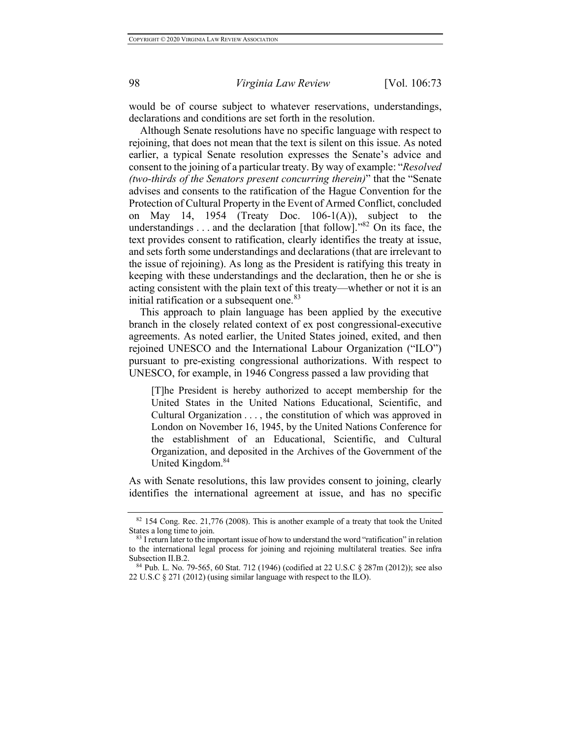would be of course subject to whatever reservations, understandings, declarations and conditions are set forth in the resolution.

Although Senate resolutions have no specific language with respect to rejoining, that does not mean that the text is silent on this issue. As noted earlier, a typical Senate resolution expresses the Senate's advice and consent to the joining of a particular treaty. By way of example: "*Resolved (two-thirds of the Senators present concurring therein)*" that the "Senate advises and consents to the ratification of the Hague Convention for the Protection of Cultural Property in the Event of Armed Conflict, concluded on May 14, 1954 (Treaty Doc.  $106-1(A)$ ), subject to the understandings . . . and the declaration [that follow]."82 On its face, the text provides consent to ratification, clearly identifies the treaty at issue, and sets forth some understandings and declarations (that are irrelevant to the issue of rejoining). As long as the President is ratifying this treaty in keeping with these understandings and the declaration, then he or she is acting consistent with the plain text of this treaty—whether or not it is an initial ratification or a subsequent one.<sup>83</sup>

This approach to plain language has been applied by the executive branch in the closely related context of ex post congressional-executive agreements. As noted earlier, the United States joined, exited, and then rejoined UNESCO and the International Labour Organization ("ILO") pursuant to pre-existing congressional authorizations. With respect to UNESCO, for example, in 1946 Congress passed a law providing that

[T]he President is hereby authorized to accept membership for the United States in the United Nations Educational, Scientific, and Cultural Organization . . . , the constitution of which was approved in London on November 16, 1945, by the United Nations Conference for the establishment of an Educational, Scientific, and Cultural Organization, and deposited in the Archives of the Government of the United Kingdom.<sup>84</sup>

As with Senate resolutions, this law provides consent to joining, clearly identifies the international agreement at issue, and has no specific

<sup>&</sup>lt;sup>82</sup> 154 Cong. Rec. 21,776 (2008). This is another example of a treaty that took the United States a long time to join.

<sup>&</sup>lt;sup>83</sup> I return later to the important issue of how to understand the word "ratification" in relation to the international legal process for joining and rejoining multilateral treaties. See infra Subsection II.B.2.

<sup>&</sup>lt;sup>84</sup> Pub. L. No. 79-565, 60 Stat. 712 (1946) (codified at 22 U.S.C  $\S$  287m (2012)); see also 22 U.S.C § 271 (2012) (using similar language with respect to the ILO).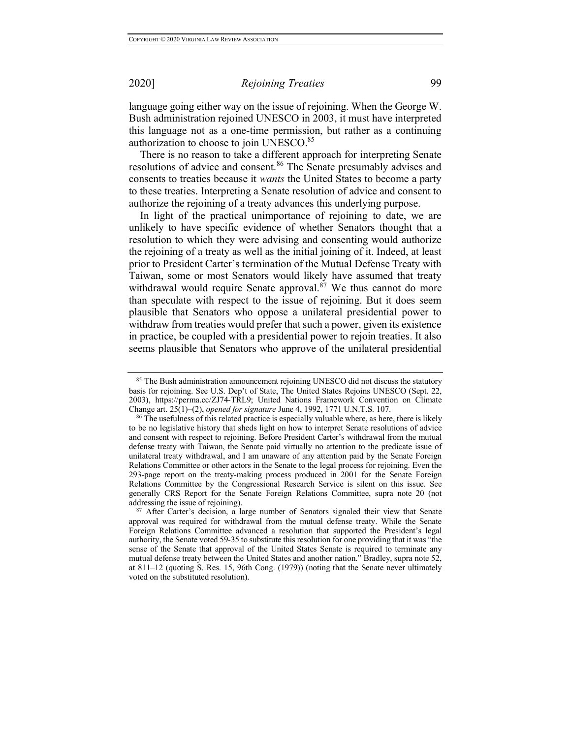language going either way on the issue of rejoining. When the George W. Bush administration rejoined UNESCO in 2003, it must have interpreted this language not as a one-time permission, but rather as a continuing authorization to choose to join UNESCO.<sup>85</sup>

There is no reason to take a different approach for interpreting Senate resolutions of advice and consent.<sup>86</sup> The Senate presumably advises and consents to treaties because it *wants* the United States to become a party to these treaties. Interpreting a Senate resolution of advice and consent to authorize the rejoining of a treaty advances this underlying purpose.

In light of the practical unimportance of rejoining to date, we are unlikely to have specific evidence of whether Senators thought that a resolution to which they were advising and consenting would authorize the rejoining of a treaty as well as the initial joining of it. Indeed, at least prior to President Carter's termination of the Mutual Defense Treaty with Taiwan, some or most Senators would likely have assumed that treaty withdrawal would require Senate approval. $8^7$  We thus cannot do more than speculate with respect to the issue of rejoining. But it does seem plausible that Senators who oppose a unilateral presidential power to withdraw from treaties would prefer that such a power, given its existence in practice, be coupled with a presidential power to rejoin treaties. It also seems plausible that Senators who approve of the unilateral presidential

<sup>&</sup>lt;sup>85</sup> The Bush administration announcement rejoining UNESCO did not discuss the statutory basis for rejoining. See U.S. Dep't of State, The United States Rejoins UNESCO (Sept. 22, 2003), https://perma.cc/ZJ74-TRL9; United Nations Framework Convention on Climate Change art. 25(1)–(2), *opened for signature* June 4, 1992, 1771 U.N.T.S. 107.

 $86$  The usefulness of this related practice is especially valuable where, as here, there is likely to be no legislative history that sheds light on how to interpret Senate resolutions of advice and consent with respect to rejoining. Before President Carter's withdrawal from the mutual defense treaty with Taiwan, the Senate paid virtually no attention to the predicate issue of unilateral treaty withdrawal, and I am unaware of any attention paid by the Senate Foreign Relations Committee or other actors in the Senate to the legal process for rejoining. Even the 293-page report on the treaty-making process produced in 2001 for the Senate Foreign Relations Committee by the Congressional Research Service is silent on this issue. See generally CRS Report for the Senate Foreign Relations Committee, supra note 20 (not addressing the issue of rejoining).

<sup>&</sup>lt;sup>87</sup> After Carter's decision, a large number of Senators signaled their view that Senate approval was required for withdrawal from the mutual defense treaty. While the Senate Foreign Relations Committee advanced a resolution that supported the President's legal authority, the Senate voted 59-35 to substitute this resolution for one providing that it was "the sense of the Senate that approval of the United States Senate is required to terminate any mutual defense treaty between the United States and another nation." Bradley, supra note 52, at 811–12 (quoting S. Res. 15, 96th Cong. (1979)) (noting that the Senate never ultimately voted on the substituted resolution).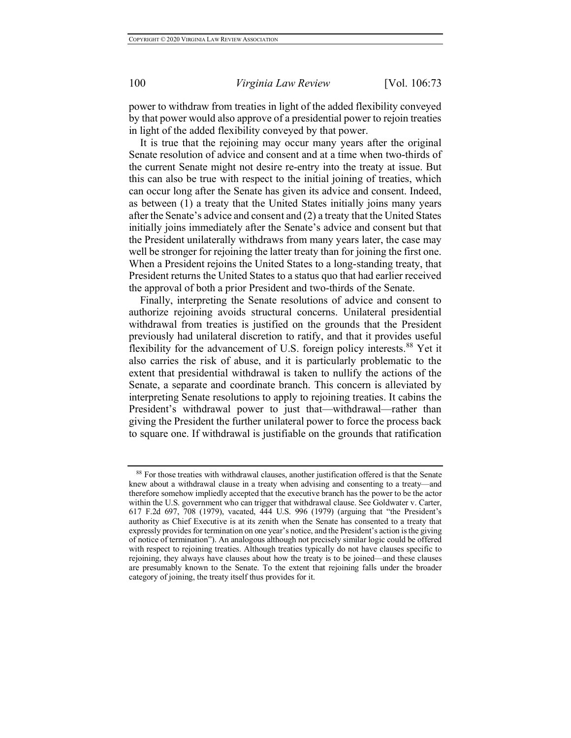power to withdraw from treaties in light of the added flexibility conveyed by that power would also approve of a presidential power to rejoin treaties in light of the added flexibility conveyed by that power.

It is true that the rejoining may occur many years after the original Senate resolution of advice and consent and at a time when two-thirds of the current Senate might not desire re-entry into the treaty at issue. But this can also be true with respect to the initial joining of treaties, which can occur long after the Senate has given its advice and consent. Indeed, as between (1) a treaty that the United States initially joins many years after the Senate's advice and consent and (2) a treaty that the United States initially joins immediately after the Senate's advice and consent but that the President unilaterally withdraws from many years later, the case may well be stronger for rejoining the latter treaty than for joining the first one. When a President rejoins the United States to a long-standing treaty, that President returns the United States to a status quo that had earlier received the approval of both a prior President and two-thirds of the Senate.

Finally, interpreting the Senate resolutions of advice and consent to authorize rejoining avoids structural concerns. Unilateral presidential withdrawal from treaties is justified on the grounds that the President previously had unilateral discretion to ratify, and that it provides useful flexibility for the advancement of U.S. foreign policy interests.<sup>88</sup> Yet it also carries the risk of abuse, and it is particularly problematic to the extent that presidential withdrawal is taken to nullify the actions of the Senate, a separate and coordinate branch. This concern is alleviated by interpreting Senate resolutions to apply to rejoining treaties. It cabins the President's withdrawal power to just that—withdrawal—rather than giving the President the further unilateral power to force the process back to square one. If withdrawal is justifiable on the grounds that ratification

<sup>88</sup> For those treaties with withdrawal clauses, another justification offered is that the Senate knew about a withdrawal clause in a treaty when advising and consenting to a treaty—and therefore somehow impliedly accepted that the executive branch has the power to be the actor within the U.S. government who can trigger that withdrawal clause. See Goldwater v. Carter, 617 F.2d 697, 708 (1979), vacated, 444 U.S. 996 (1979) (arguing that "the President's authority as Chief Executive is at its zenith when the Senate has consented to a treaty that expressly provides for termination on one year's notice, and the President's action is the giving of notice of termination"). An analogous although not precisely similar logic could be offered with respect to rejoining treaties. Although treaties typically do not have clauses specific to rejoining, they always have clauses about how the treaty is to be joined—and these clauses are presumably known to the Senate. To the extent that rejoining falls under the broader category of joining, the treaty itself thus provides for it.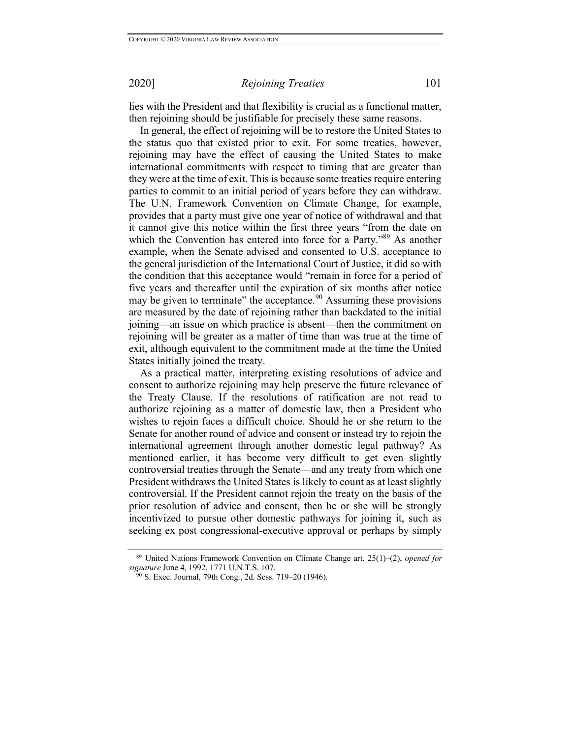lies with the President and that flexibility is crucial as a functional matter, then rejoining should be justifiable for precisely these same reasons.

In general, the effect of rejoining will be to restore the United States to the status quo that existed prior to exit. For some treaties, however, rejoining may have the effect of causing the United States to make international commitments with respect to timing that are greater than they were at the time of exit. This is because some treaties require entering parties to commit to an initial period of years before they can withdraw. The U.N. Framework Convention on Climate Change, for example, provides that a party must give one year of notice of withdrawal and that it cannot give this notice within the first three years "from the date on which the Convention has entered into force for a Party."<sup>89</sup> As another example, when the Senate advised and consented to U.S. acceptance to the general jurisdiction of the International Court of Justice, it did so with the condition that this acceptance would "remain in force for a period of five years and thereafter until the expiration of six months after notice may be given to terminate" the acceptance.<sup>90</sup> Assuming these provisions are measured by the date of rejoining rather than backdated to the initial joining—an issue on which practice is absent—then the commitment on rejoining will be greater as a matter of time than was true at the time of exit, although equivalent to the commitment made at the time the United States initially joined the treaty.

As a practical matter, interpreting existing resolutions of advice and consent to authorize rejoining may help preserve the future relevance of the Treaty Clause. If the resolutions of ratification are not read to authorize rejoining as a matter of domestic law, then a President who wishes to rejoin faces a difficult choice. Should he or she return to the Senate for another round of advice and consent or instead try to rejoin the international agreement through another domestic legal pathway? As mentioned earlier, it has become very difficult to get even slightly controversial treaties through the Senate—and any treaty from which one President withdraws the United States is likely to count as at least slightly controversial. If the President cannot rejoin the treaty on the basis of the prior resolution of advice and consent, then he or she will be strongly incentivized to pursue other domestic pathways for joining it, such as seeking ex post congressional-executive approval or perhaps by simply

<sup>89</sup> United Nations Framework Convention on Climate Change art. 25(1)–(2), *opened for signature* June 4, 1992, 1771 U.N.T.S. 107.

<sup>90</sup> S. Exec. Journal, 79th Cong., 2d. Sess. 719–20 (1946).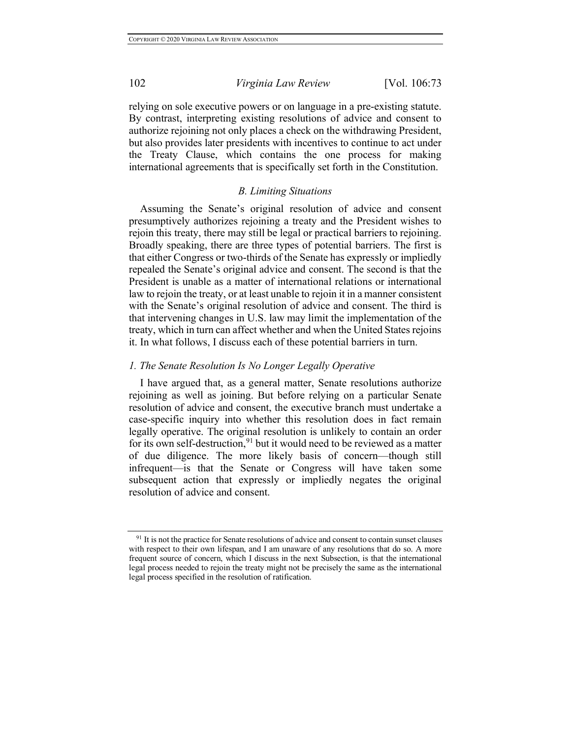relying on sole executive powers or on language in a pre-existing statute. By contrast, interpreting existing resolutions of advice and consent to authorize rejoining not only places a check on the withdrawing President, but also provides later presidents with incentives to continue to act under the Treaty Clause, which contains the one process for making international agreements that is specifically set forth in the Constitution.

### *B. Limiting Situations*

Assuming the Senate's original resolution of advice and consent presumptively authorizes rejoining a treaty and the President wishes to rejoin this treaty, there may still be legal or practical barriers to rejoining. Broadly speaking, there are three types of potential barriers. The first is that either Congress or two-thirds of the Senate has expressly or impliedly repealed the Senate's original advice and consent. The second is that the President is unable as a matter of international relations or international law to rejoin the treaty, or at least unable to rejoin it in a manner consistent with the Senate's original resolution of advice and consent. The third is that intervening changes in U.S. law may limit the implementation of the treaty, which in turn can affect whether and when the United States rejoins it. In what follows, I discuss each of these potential barriers in turn.

### *1. The Senate Resolution Is No Longer Legally Operative*

I have argued that, as a general matter, Senate resolutions authorize rejoining as well as joining. But before relying on a particular Senate resolution of advice and consent, the executive branch must undertake a case-specific inquiry into whether this resolution does in fact remain legally operative. The original resolution is unlikely to contain an order for its own self-destruction,<sup>91</sup> but it would need to be reviewed as a matter of due diligence. The more likely basis of concern—though still infrequent—is that the Senate or Congress will have taken some subsequent action that expressly or impliedly negates the original resolution of advice and consent.

<sup>&</sup>lt;sup>91</sup> It is not the practice for Senate resolutions of advice and consent to contain sunset clauses with respect to their own lifespan, and I am unaware of any resolutions that do so. A more frequent source of concern, which I discuss in the next Subsection, is that the international legal process needed to rejoin the treaty might not be precisely the same as the international legal process specified in the resolution of ratification.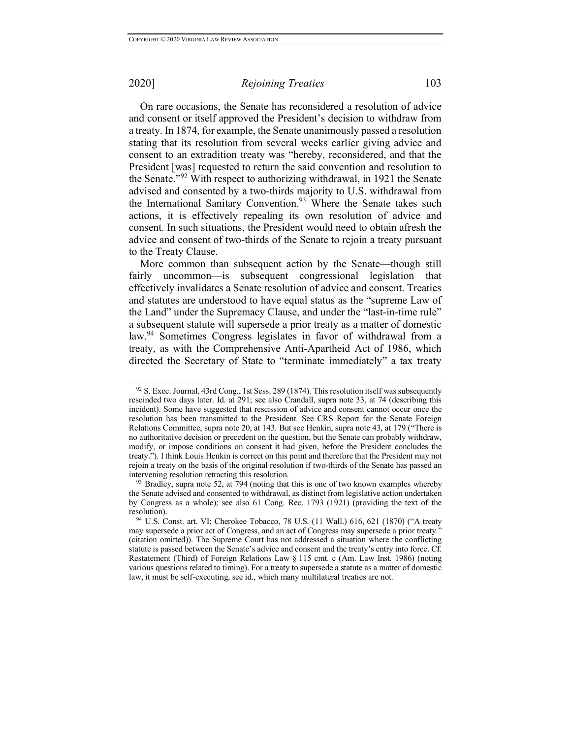On rare occasions, the Senate has reconsidered a resolution of advice and consent or itself approved the President's decision to withdraw from a treaty. In 1874, for example, the Senate unanimously passed a resolution stating that its resolution from several weeks earlier giving advice and consent to an extradition treaty was "hereby, reconsidered, and that the President [was] requested to return the said convention and resolution to the Senate."<sup>92</sup> With respect to authorizing withdrawal, in 1921 the Senate advised and consented by a two-thirds majority to U.S. withdrawal from the International Sanitary Convention.<sup>93</sup> Where the Senate takes such actions, it is effectively repealing its own resolution of advice and consent. In such situations, the President would need to obtain afresh the advice and consent of two-thirds of the Senate to rejoin a treaty pursuant to the Treaty Clause.

More common than subsequent action by the Senate—though still fairly uncommon—is subsequent congressional legislation that effectively invalidates a Senate resolution of advice and consent. Treaties and statutes are understood to have equal status as the "supreme Law of the Land" under the Supremacy Clause, and under the "last-in-time rule" a subsequent statute will supersede a prior treaty as a matter of domestic law.<sup>94</sup> Sometimes Congress legislates in favor of withdrawal from a treaty, as with the Comprehensive Anti-Apartheid Act of 1986, which directed the Secretary of State to "terminate immediately" a tax treaty

<sup>92</sup> S. Exec. Journal, 43rd Cong., 1st Sess. 289 (1874). This resolution itself was subsequently rescinded two days later. Id. at 291; see also Crandall, supra note 33, at 74 (describing this incident). Some have suggested that rescission of advice and consent cannot occur once the resolution has been transmitted to the President. See CRS Report for the Senate Foreign Relations Committee, supra note 20, at 143. But see Henkin, supra note 43, at 179 ("There is no authoritative decision or precedent on the question, but the Senate can probably withdraw, modify, or impose conditions on consent it had given, before the President concludes the treaty."). I think Louis Henkin is correct on this point and therefore that the President may not rejoin a treaty on the basis of the original resolution if two-thirds of the Senate has passed an intervening resolution retracting this resolution.<br><sup>93</sup> Bradley, supra note 52, at 794 (noting that this is one of two known examples whereby

the Senate advised and consented to withdrawal, as distinct from legislative action undertaken by Congress as a whole); see also 61 Cong. Rec. 1793 (1921) (providing the text of the resolution).

<sup>&</sup>lt;sup>94</sup> U.S. Const. art. VI; Cherokee Tobacco, 78 U.S. (11 Wall.) 616, 621 (1870) ("A treaty may supersede a prior act of Congress, and an act of Congress may supersede a prior treaty." (citation omitted)). The Supreme Court has not addressed a situation where the conflicting statute is passed between the Senate's advice and consent and the treaty's entry into force. Cf. Restatement (Third) of Foreign Relations Law § 115 cmt. c (Am. Law Inst. 1986) (noting various questions related to timing). For a treaty to supersede a statute as a matter of domestic law, it must be self-executing, see id., which many multilateral treaties are not.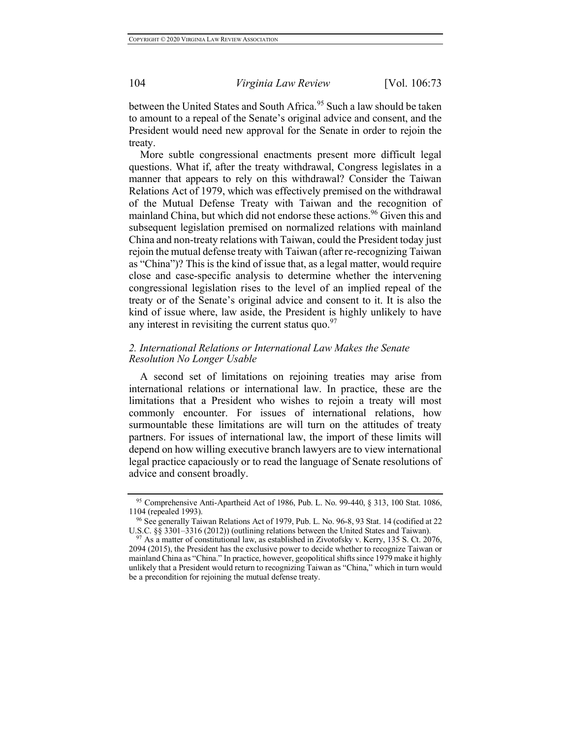between the United States and South Africa.<sup>95</sup> Such a law should be taken to amount to a repeal of the Senate's original advice and consent, and the President would need new approval for the Senate in order to rejoin the treaty.

More subtle congressional enactments present more difficult legal questions. What if, after the treaty withdrawal, Congress legislates in a manner that appears to rely on this withdrawal? Consider the Taiwan Relations Act of 1979, which was effectively premised on the withdrawal of the Mutual Defense Treaty with Taiwan and the recognition of mainland China, but which did not endorse these actions.<sup>96</sup> Given this and subsequent legislation premised on normalized relations with mainland China and non-treaty relations with Taiwan, could the President today just rejoin the mutual defense treaty with Taiwan (after re-recognizing Taiwan as "China")? This is the kind of issue that, as a legal matter, would require close and case-specific analysis to determine whether the intervening congressional legislation rises to the level of an implied repeal of the treaty or of the Senate's original advice and consent to it. It is also the kind of issue where, law aside, the President is highly unlikely to have any interest in revisiting the current status quo. $97$ 

## *2. International Relations or International Law Makes the Senate Resolution No Longer Usable*

A second set of limitations on rejoining treaties may arise from international relations or international law. In practice, these are the limitations that a President who wishes to rejoin a treaty will most commonly encounter. For issues of international relations, how surmountable these limitations are will turn on the attitudes of treaty partners. For issues of international law, the import of these limits will depend on how willing executive branch lawyers are to view international legal practice capaciously or to read the language of Senate resolutions of advice and consent broadly.

<sup>95</sup> Comprehensive Anti-Apartheid Act of 1986, Pub. L. No. 99-440, § 313, 100 Stat. 1086, 1104 (repealed 1993).

<sup>&</sup>lt;sup>96</sup> See generally Taiwan Relations Act of 1979, Pub. L. No. 96-8, 93 Stat. 14 (codified at 22 U.S.C. §§ 3301–3316 (2012)) (outlining relations between the United States and Taiwan).

 $97$  As a matter of constitutional law, as established in Zivotofsky v. Kerry, 135 S. Ct. 2076, 2094 (2015), the President has the exclusive power to decide whether to recognize Taiwan or mainland China as "China." In practice, however, geopolitical shifts since 1979 make it highly unlikely that a President would return to recognizing Taiwan as "China," which in turn would be a precondition for rejoining the mutual defense treaty.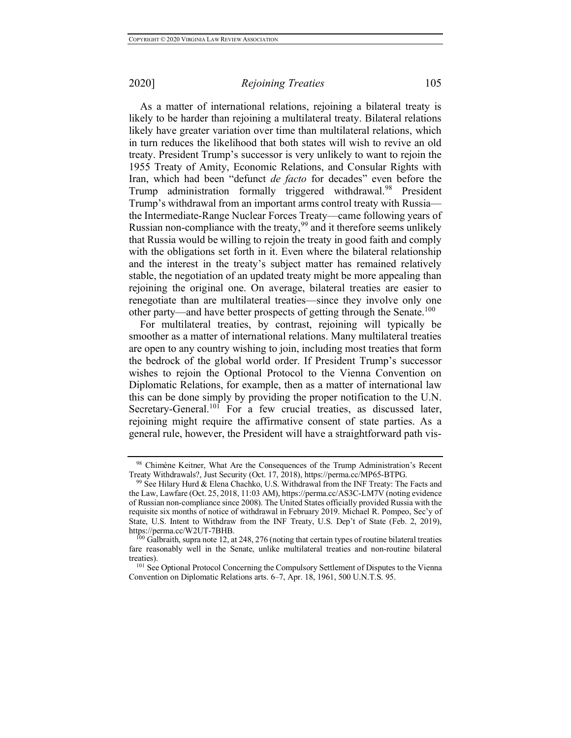As a matter of international relations, rejoining a bilateral treaty is likely to be harder than rejoining a multilateral treaty. Bilateral relations likely have greater variation over time than multilateral relations, which in turn reduces the likelihood that both states will wish to revive an old treaty. President Trump's successor is very unlikely to want to rejoin the 1955 Treaty of Amity, Economic Relations, and Consular Rights with Iran, which had been "defunct *de facto* for decades" even before the Trump administration formally triggered withdrawal.<sup>98</sup> President Trump's withdrawal from an important arms control treaty with Russia the Intermediate-Range Nuclear Forces Treaty—came following years of Russian non-compliance with the treaty,<sup>99</sup> and it therefore seems unlikely that Russia would be willing to rejoin the treaty in good faith and comply with the obligations set forth in it. Even where the bilateral relationship and the interest in the treaty's subject matter has remained relatively stable, the negotiation of an updated treaty might be more appealing than rejoining the original one. On average, bilateral treaties are easier to renegotiate than are multilateral treaties—since they involve only one other party—and have better prospects of getting through the Senate.<sup>100</sup>

For multilateral treaties, by contrast, rejoining will typically be smoother as a matter of international relations. Many multilateral treaties are open to any country wishing to join, including most treaties that form the bedrock of the global world order. If President Trump's successor wishes to rejoin the Optional Protocol to the Vienna Convention on Diplomatic Relations, for example, then as a matter of international law this can be done simply by providing the proper notification to the U.N. Secretary-General.<sup>101</sup> For a few crucial treaties, as discussed later, rejoining might require the affirmative consent of state parties. As a general rule, however, the President will have a straightforward path vis-

<sup>98</sup> Chimène Keitner, What Are the Consequences of the Trump Administration's Recent Treaty Withdrawals?, Just Security (Oct. 17, 2018), https://perma.cc/MP65-BTPG.

<sup>&</sup>lt;sup>99</sup> See Hilary Hurd & Elena Chachko, U.S. Withdrawal from the INF Treaty: The Facts and the Law, Lawfare (Oct. 25, 2018, 11:03 AM), https://perma.cc/AS3C-LM7V (noting evidence of Russian non-compliance since 2008). The United States officially provided Russia with the requisite six months of notice of withdrawal in February 2019. Michael R. Pompeo, Sec'y of State, U.S. Intent to Withdraw from the INF Treaty, U.S. Dep't of State (Feb. 2, 2019), https://perma.cc/W2UT-7BHB.

 $100$  Galbraith, supra note 12, at 248, 276 (noting that certain types of routine bilateral treaties fare reasonably well in the Senate, unlike multilateral treaties and non-routine bilateral treaties).

<sup>&</sup>lt;sup>101</sup> See Optional Protocol Concerning the Compulsory Settlement of Disputes to the Vienna Convention on Diplomatic Relations arts. 6–7, Apr. 18, 1961, 500 U.N.T.S. 95.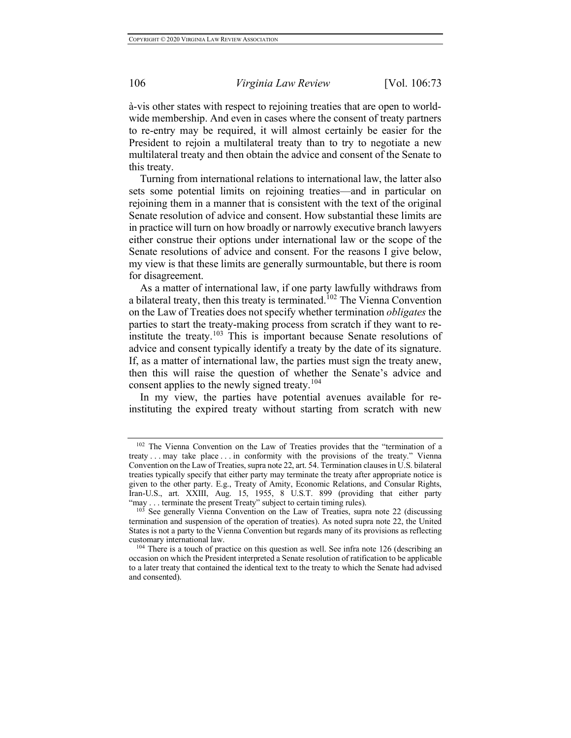à-vis other states with respect to rejoining treaties that are open to worldwide membership. And even in cases where the consent of treaty partners to re-entry may be required, it will almost certainly be easier for the President to rejoin a multilateral treaty than to try to negotiate a new multilateral treaty and then obtain the advice and consent of the Senate to this treaty.

Turning from international relations to international law, the latter also sets some potential limits on rejoining treaties—and in particular on rejoining them in a manner that is consistent with the text of the original Senate resolution of advice and consent. How substantial these limits are in practice will turn on how broadly or narrowly executive branch lawyers either construe their options under international law or the scope of the Senate resolutions of advice and consent. For the reasons I give below, my view is that these limits are generally surmountable, but there is room for disagreement.

As a matter of international law, if one party lawfully withdraws from a bilateral treaty, then this treaty is terminated.<sup>102</sup> The Vienna Convention on the Law of Treaties does not specify whether termination *obligates* the parties to start the treaty-making process from scratch if they want to reinstitute the treaty.<sup>103</sup> This is important because Senate resolutions of advice and consent typically identify a treaty by the date of its signature. If, as a matter of international law, the parties must sign the treaty anew, then this will raise the question of whether the Senate's advice and consent applies to the newly signed treaty.<sup>104</sup>

In my view, the parties have potential avenues available for reinstituting the expired treaty without starting from scratch with new

<sup>102</sup> The Vienna Convention on the Law of Treaties provides that the "termination of a treaty . . . may take place . . . in conformity with the provisions of the treaty." Vienna Convention on the Law of Treaties, supra note 22, art. 54. Termination clauses in U.S. bilateral treaties typically specify that either party may terminate the treaty after appropriate notice is given to the other party. E.g., Treaty of Amity, Economic Relations, and Consular Rights, Iran-U.S., art. XXIII, Aug. 15, 1955, 8 U.S.T. 899 (providing that either party

 $10\overline{3}$  See generally Vienna Convention on the Law of Treaties, supra note 22 (discussing termination and suspension of the operation of treaties). As noted supra note 22, the United States is not a party to the Vienna Convention but regards many of its provisions as reflecting customary international law.

<sup>&</sup>lt;sup>104</sup> There is a touch of practice on this question as well. See infra note 126 (describing an occasion on which the President interpreted a Senate resolution of ratification to be applicable to a later treaty that contained the identical text to the treaty to which the Senate had advised and consented).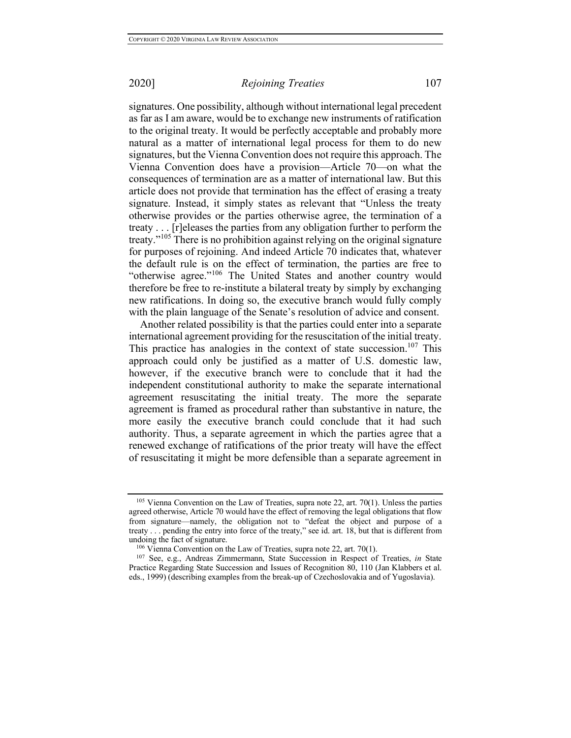signatures. One possibility, although without international legal precedent as far as I am aware, would be to exchange new instruments of ratification to the original treaty. It would be perfectly acceptable and probably more natural as a matter of international legal process for them to do new signatures, but the Vienna Convention does not require this approach. The Vienna Convention does have a provision—Article 70—on what the consequences of termination are as a matter of international law. But this article does not provide that termination has the effect of erasing a treaty signature. Instead, it simply states as relevant that "Unless the treaty otherwise provides or the parties otherwise agree, the termination of a treaty . . . [r]eleases the parties from any obligation further to perform the treaty."<sup>105</sup> There is no prohibition against relying on the original signature for purposes of rejoining. And indeed Article 70 indicates that, whatever the default rule is on the effect of termination, the parties are free to "otherwise agree."<sup>106</sup> The United States and another country would therefore be free to re-institute a bilateral treaty by simply by exchanging new ratifications. In doing so, the executive branch would fully comply with the plain language of the Senate's resolution of advice and consent.

Another related possibility is that the parties could enter into a separate international agreement providing for the resuscitation of the initial treaty. This practice has analogies in the context of state succession.<sup>107</sup> This approach could only be justified as a matter of U.S. domestic law, however, if the executive branch were to conclude that it had the independent constitutional authority to make the separate international agreement resuscitating the initial treaty. The more the separate agreement is framed as procedural rather than substantive in nature, the more easily the executive branch could conclude that it had such authority. Thus, a separate agreement in which the parties agree that a renewed exchange of ratifications of the prior treaty will have the effect of resuscitating it might be more defensible than a separate agreement in

<sup>&</sup>lt;sup>105</sup> Vienna Convention on the Law of Treaties, supra note 22, art. 70(1). Unless the parties agreed otherwise, Article 70 would have the effect of removing the legal obligations that flow from signature—namely, the obligation not to "defeat the object and purpose of a treaty . . . pending the entry into force of the treaty," see id. art. 18, but that is different from undoing the fact of signature.

<sup>106</sup> Vienna Convention on the Law of Treaties, supra note 22, art. 70(1).

<sup>107</sup> See, e.g., Andreas Zimmermann, State Succession in Respect of Treaties, *in* State Practice Regarding State Succession and Issues of Recognition 80, 110 (Jan Klabbers et al. eds., 1999) (describing examples from the break-up of Czechoslovakia and of Yugoslavia).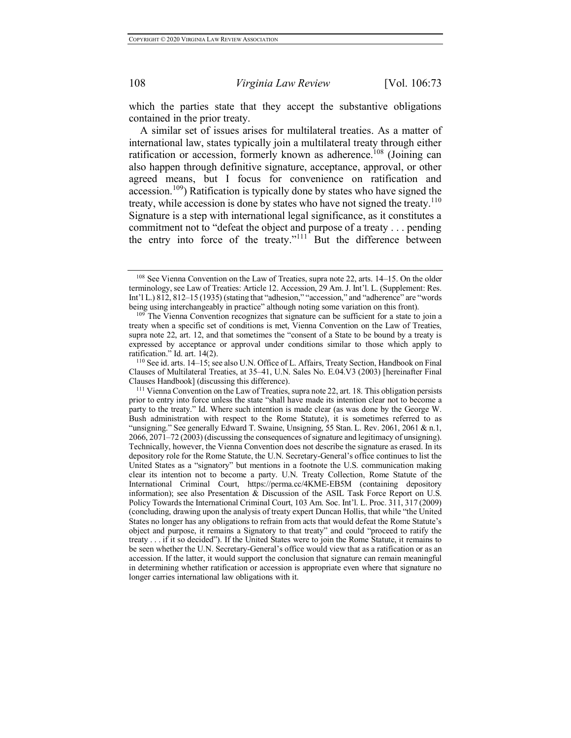which the parties state that they accept the substantive obligations contained in the prior treaty.

A similar set of issues arises for multilateral treaties. As a matter of international law, states typically join a multilateral treaty through either ratification or accession, formerly known as adherence.<sup>108</sup> (Joining can also happen through definitive signature, acceptance, approval, or other agreed means, but I focus for convenience on ratification and accession.109) Ratification is typically done by states who have signed the treaty, while accession is done by states who have not signed the treaty.<sup>110</sup> Signature is a step with international legal significance, as it constitutes a commitment not to "defeat the object and purpose of a treaty . . . pending the entry into force of the treaty."<sup>111</sup> But the difference between

<sup>108</sup> See Vienna Convention on the Law of Treaties, supra note 22, arts. 14–15. On the older terminology, see Law of Treaties: Article 12. Accession, 29 Am. J. Int'l. L. (Supplement: Res. Int'l L.) 812, 812–15 (1935) (stating that "adhesion," "accession," and "adherence" are "words being using interchangeably in practice" although noting some variation on this front).

<sup>&</sup>lt;sup>109</sup> The Vienna Convention recognizes that signature can be sufficient for a state to join a treaty when a specific set of conditions is met, Vienna Convention on the Law of Treaties, supra note 22, art. 12, and that sometimes the "consent of a State to be bound by a treaty is expressed by acceptance or approval under conditions similar to those which apply to ratification." Id. art. 14(2).

<sup>110</sup> See id. arts. 14–15; see also U.N. Office of L. Affairs, Treaty Section, Handbook on Final Clauses of Multilateral Treaties, at 35–41, U.N. Sales No. E.04.V3 (2003) [hereinafter Final Clauses Handbook] (discussing this difference).

<sup>&</sup>lt;sup>111</sup> Vienna Convention on the Law of Treaties, supra note 22, art. 18. This obligation persists prior to entry into force unless the state "shall have made its intention clear not to become a party to the treaty." Id. Where such intention is made clear (as was done by the George W. Bush administration with respect to the Rome Statute), it is sometimes referred to as "unsigning." See generally Edward T. Swaine, Unsigning, 55 Stan. L. Rev. 2061, 2061 & n.1, 2066, 2071–72 (2003) (discussing the consequences of signature and legitimacy of unsigning). Technically, however, the Vienna Convention does not describe the signature as erased. In its depository role for the Rome Statute, the U.N. Secretary-General's office continues to list the United States as a "signatory" but mentions in a footnote the U.S. communication making clear its intention not to become a party. U.N. Treaty Collection, Rome Statute of the International Criminal Court, https://perma.cc/4KME-EB5M (containing depository information); see also Presentation & Discussion of the ASIL Task Force Report on U.S. Policy Towards the International Criminal Court, 103 Am. Soc. Int'l. L. Proc. 311, 317 (2009) (concluding, drawing upon the analysis of treaty expert Duncan Hollis, that while "the United States no longer has any obligations to refrain from acts that would defeat the Rome Statute's object and purpose, it remains a Signatory to that treaty" and could "proceed to ratify the treaty . . . if it so decided"). If the United States were to join the Rome Statute, it remains to be seen whether the U.N. Secretary-General's office would view that as a ratification or as an accession. If the latter, it would support the conclusion that signature can remain meaningful in determining whether ratification or accession is appropriate even where that signature no longer carries international law obligations with it.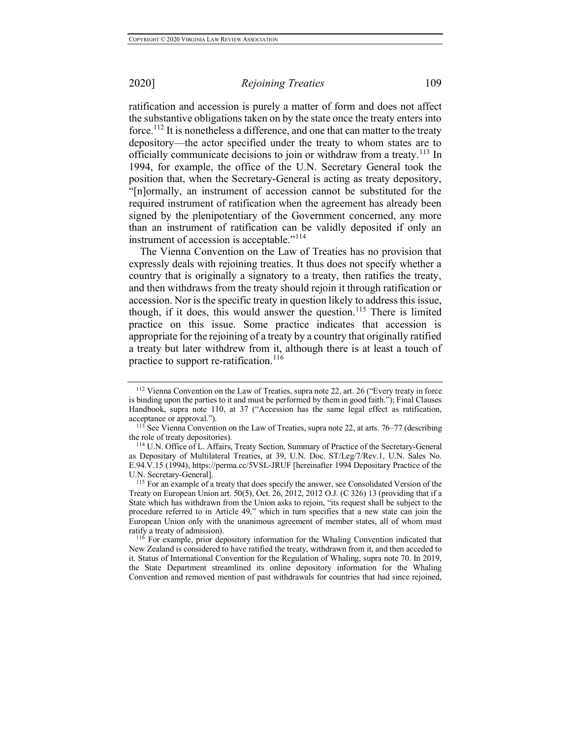ratification and accession is purely a matter of form and does not affect the substantive obligations taken on by the state once the treaty enters into force.<sup>112</sup> It is nonetheless a difference, and one that can matter to the treaty depository—the actor specified under the treaty to whom states are to officially communicate decisions to join or withdraw from a treaty.<sup>113</sup> In 1994, for example, the office of the U.N. Secretary General took the position that, when the Secretary-General is acting as treaty depository, "[n]ormally, an instrument of accession cannot be substituted for the required instrument of ratification when the agreement has already been signed by the plenipotentiary of the Government concerned, any more than an instrument of ratification can be validly deposited if only an instrument of accession is acceptable."<sup>114</sup>

The Vienna Convention on the Law of Treaties has no provision that expressly deals with rejoining treaties. It thus does not specify whether a country that is originally a signatory to a treaty, then ratifies the treaty, and then withdraws from the treaty should rejoin it through ratification or accession. Nor is the specific treaty in question likely to address this issue, though, if it does, this would answer the question.<sup>115</sup> There is limited practice on this issue. Some practice indicates that accession is appropriate for the rejoining of a treaty by a country that originally ratified a treaty but later withdrew from it, although there is at least a touch of practice to support re-ratification.<sup>116</sup>

 $116$  For example, prior depository information for the Whaling Convention indicated that New Zealand is considered to have ratified the treaty, withdrawn from it, and then acceded to it. Status of International Convention for the Regulation of Whaling, supra note 70. In 2019, the State Department streamlined its online depository information for the Whaling Convention and removed mention of past withdrawals for countries that had since rejoined,

<sup>112</sup> Vienna Convention on the Law of Treaties, supra note 22, art. 26 ("Every treaty in force is binding upon the parties to it and must be performed by them in good faith."); Final Clauses Handbook, supra note 110, at 37 ("Accession has the same legal effect as ratification, acceptance or approval.").

<sup>&</sup>lt;sup>113</sup> See Vienna Convention on the Law of Treaties, supra note 22, at arts. 76–77 (describing the role of treaty depositories).

<sup>114</sup> U.N. Office of L. Affairs, Treaty Section, Summary of Practice of the Secretary-General as Depositary of Multilateral Treaties, at 39, U.N. Doc. ST/Leg/7/Rev.1, U.N. Sales No. E.94.V.15 (1994), https://perma.cc/5VSL-JRUF [hereinafter 1994 Depositary Practice of the U.N. Secretary-General].<br><sup>115</sup> For an example of a treaty that does specify the answer, see Consolidated Version of the

Treaty on European Union art. 50(5), Oct. 26, 2012, 2012 O.J. (C 326) 13 (providing that if a State which has withdrawn from the Union asks to rejoin, "its request shall be subject to the procedure referred to in Article 49," which in turn specifies that a new state can join the European Union only with the unanimous agreement of member states, all of whom must ratify a treaty of admission).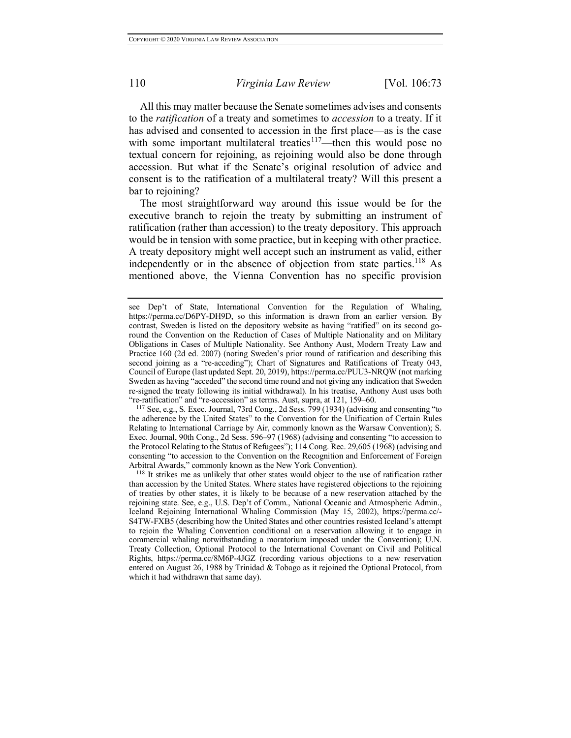All this may matter because the Senate sometimes advises and consents to the *ratification* of a treaty and sometimes to *accession* to a treaty. If it has advised and consented to accession in the first place—as is the case with some important multilateral treaties<sup>117</sup>—then this would pose no textual concern for rejoining, as rejoining would also be done through accession. But what if the Senate's original resolution of advice and consent is to the ratification of a multilateral treaty? Will this present a bar to rejoining?

The most straightforward way around this issue would be for the executive branch to rejoin the treaty by submitting an instrument of ratification (rather than accession) to the treaty depository. This approach would be in tension with some practice, but in keeping with other practice. A treaty depository might well accept such an instrument as valid, either independently or in the absence of objection from state parties.<sup>118</sup> As mentioned above, the Vienna Convention has no specific provision

<sup>117</sup> See, e.g., S. Exec. Journal, 73rd Cong., 2d Sess. 799 (1934) (advising and consenting "to the adherence by the United States" to the Convention for the Unification of Certain Rules Relating to International Carriage by Air, commonly known as the Warsaw Convention); S. Exec. Journal, 90th Cong., 2d Sess. 596–97 (1968) (advising and consenting "to accession to the Protocol Relating to the Status of Refugees"); 114 Cong. Rec. 29,605 (1968) (advising and consenting "to accession to the Convention on the Recognition and Enforcement of Foreign Arbitral Awards," commonly known as the New York Convention).

see Dep't of State, International Convention for the Regulation of Whaling, https://perma.cc/D6PY-DH9D, so this information is drawn from an earlier version. By contrast, Sweden is listed on the depository website as having "ratified" on its second goround the Convention on the Reduction of Cases of Multiple Nationality and on Military Obligations in Cases of Multiple Nationality. See Anthony Aust, Modern Treaty Law and Practice 160 (2d ed. 2007) (noting Sweden's prior round of ratification and describing this second joining as a "re-acceding"); Chart of Signatures and Ratifications of Treaty 043, Council of Europe (last updated Sept. 20, 2019), https://perma.cc/PUU3-NRQW (not marking Sweden as having "acceded" the second time round and not giving any indication that Sweden re-signed the treaty following its initial withdrawal). In his treatise, Anthony Aust uses both "re-ratification" and "re-accession" as terms. Aust, supra, at 121, 159–60.

<sup>118</sup> It strikes me as unlikely that other states would object to the use of ratification rather than accession by the United States. Where states have registered objections to the rejoining of treaties by other states, it is likely to be because of a new reservation attached by the rejoining state. See, e.g., U.S. Dep't of Comm., National Oceanic and Atmospheric Admin., Iceland Rejoining International Whaling Commission (May 15, 2002), https://perma.cc/- S4TW-FXB5 (describing how the United States and other countries resisted Iceland's attempt to rejoin the Whaling Convention conditional on a reservation allowing it to engage in commercial whaling notwithstanding a moratorium imposed under the Convention); U.N. Treaty Collection, Optional Protocol to the International Covenant on Civil and Political Rights, https://perma.cc/8M6P-4JGZ (recording various objections to a new reservation entered on August 26, 1988 by Trinidad  $&$  Tobago as it rejoined the Optional Protocol, from which it had withdrawn that same day).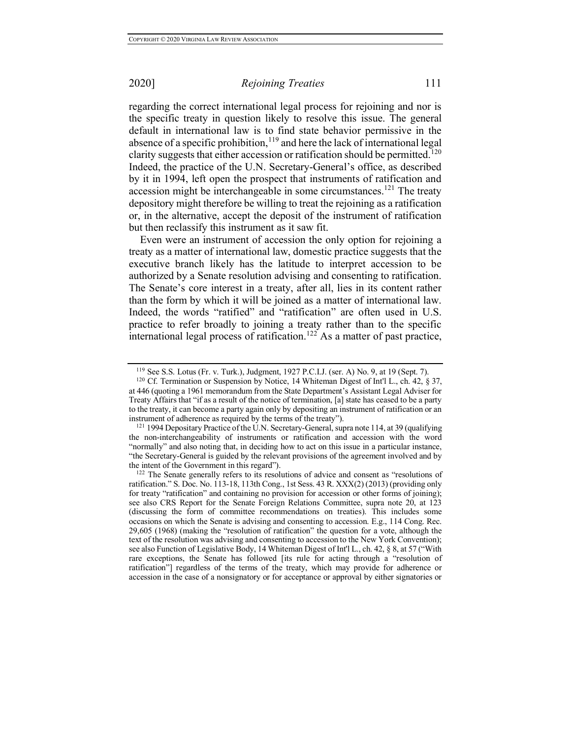regarding the correct international legal process for rejoining and nor is the specific treaty in question likely to resolve this issue. The general default in international law is to find state behavior permissive in the absence of a specific prohibition, $119$  and here the lack of international legal clarity suggests that either accession or ratification should be permitted.<sup>120</sup> Indeed, the practice of the U.N. Secretary-General's office, as described by it in 1994, left open the prospect that instruments of ratification and accession might be interchangeable in some circumstances.<sup>121</sup> The treaty depository might therefore be willing to treat the rejoining as a ratification or, in the alternative, accept the deposit of the instrument of ratification but then reclassify this instrument as it saw fit.

Even were an instrument of accession the only option for rejoining a treaty as a matter of international law, domestic practice suggests that the executive branch likely has the latitude to interpret accession to be authorized by a Senate resolution advising and consenting to ratification. The Senate's core interest in a treaty, after all, lies in its content rather than the form by which it will be joined as a matter of international law. Indeed, the words "ratified" and "ratification" are often used in U.S. practice to refer broadly to joining a treaty rather than to the specific international legal process of ratification.<sup>122</sup> As a matter of past practice,

<sup>119</sup> See S.S. Lotus (Fr. v. Turk.), Judgment, 1927 P.C.I.J. (ser. A) No. 9, at 19 (Sept. 7).

<sup>&</sup>lt;sup>120</sup> Cf. Termination or Suspension by Notice, 14 Whiteman Digest of Int'l L., ch. 42,  $\frac{120}{10}$ at 446 (quoting a 1961 memorandum from the State Department's Assistant Legal Adviser for Treaty Affairs that "if as a result of the notice of termination, [a] state has ceased to be a party to the treaty, it can become a party again only by depositing an instrument of ratification or an instrument of adherence as required by the terms of the treaty").

<sup>&</sup>lt;sup>121</sup> 1994 Depositary Practice of the U.N. Secretary-General, supra note 114, at 39 (qualifying the non-interchangeability of instruments or ratification and accession with the word "normally" and also noting that, in deciding how to act on this issue in a particular instance, "the Secretary-General is guided by the relevant provisions of the agreement involved and by the intent of the Government in this regard").

<sup>&</sup>lt;sup>122</sup> The Senate generally refers to its resolutions of advice and consent as "resolutions of ratification." S. Doc. No. 113-18, 113th Cong., 1st Sess. 43 R. XXX(2) (2013) (providing only for treaty "ratification" and containing no provision for accession or other forms of joining); see also CRS Report for the Senate Foreign Relations Committee, supra note 20, at 123 (discussing the form of committee recommendations on treaties). This includes some occasions on which the Senate is advising and consenting to accession. E.g., 114 Cong. Rec. 29,605 (1968) (making the "resolution of ratification" the question for a vote, although the text of the resolution was advising and consenting to accession to the New York Convention); see also Function of Legislative Body, 14 Whiteman Digest of Int'l L., ch. 42, § 8, at 57 ("With rare exceptions, the Senate has followed [its rule for acting through a "resolution of ratification"] regardless of the terms of the treaty, which may provide for adherence or accession in the case of a nonsignatory or for acceptance or approval by either signatories or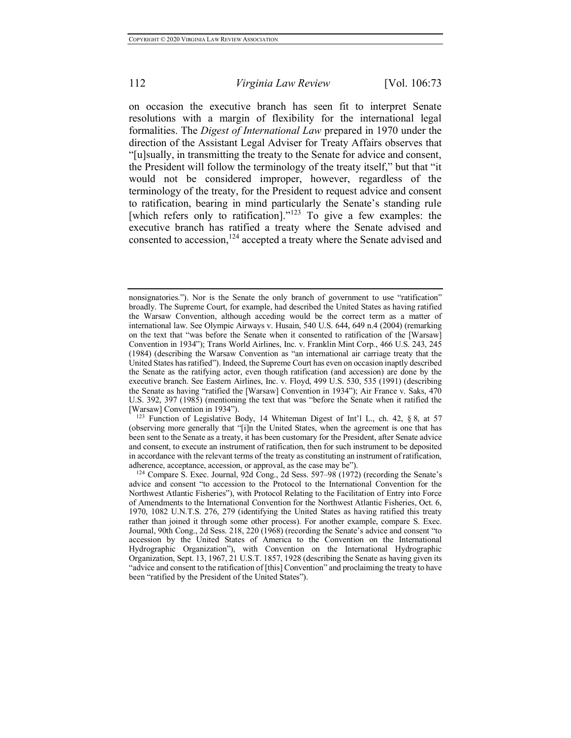on occasion the executive branch has seen fit to interpret Senate resolutions with a margin of flexibility for the international legal formalities. The *Digest of International Law* prepared in 1970 under the direction of the Assistant Legal Adviser for Treaty Affairs observes that "[u]sually, in transmitting the treaty to the Senate for advice and consent, the President will follow the terminology of the treaty itself," but that "it would not be considered improper, however, regardless of the terminology of the treaty, for the President to request advice and consent to ratification, bearing in mind particularly the Senate's standing rule [which refers only to ratification]."<sup>123</sup> To give a few examples: the executive branch has ratified a treaty where the Senate advised and consented to accession,<sup>124</sup> accepted a treaty where the Senate advised and

nonsignatories."). Nor is the Senate the only branch of government to use "ratification" broadly. The Supreme Court, for example, had described the United States as having ratified the Warsaw Convention, although acceding would be the correct term as a matter of international law. See Olympic Airways v. Husain, 540 U.S. 644, 649 n.4 (2004) (remarking on the text that "was before the Senate when it consented to ratification of the [Warsaw] Convention in 1934"); Trans World Airlines, Inc. v. Franklin Mint Corp., 466 U.S. 243, 245 (1984) (describing the Warsaw Convention as "an international air carriage treaty that the United States has ratified"). Indeed, the Supreme Court has even on occasion inaptly described the Senate as the ratifying actor, even though ratification (and accession) are done by the executive branch. See Eastern Airlines, Inc. v. Floyd, 499 U.S. 530, 535 (1991) (describing the Senate as having "ratified the [Warsaw] Convention in 1934"); Air France v. Saks, 470 U.S. 392, 397 (1985) (mentioning the text that was "before the Senate when it ratified the [Warsaw] Convention in 1934").

<sup>123</sup> Function of Legislative Body, 14 Whiteman Digest of Int'l L., ch. 42, § 8, at 57 (observing more generally that "[i]n the United States, when the agreement is one that has been sent to the Senate as a treaty, it has been customary for the President, after Senate advice and consent, to execute an instrument of ratification, then for such instrument to be deposited in accordance with the relevant terms of the treaty as constituting an instrument of ratification, adherence, acceptance, accession, or approval, as the case may be").

<sup>124</sup> Compare S. Exec. Journal, 92d Cong., 2d Sess. 597–98 (1972) (recording the Senate's advice and consent "to accession to the Protocol to the International Convention for the Northwest Atlantic Fisheries"), with Protocol Relating to the Facilitation of Entry into Force of Amendments to the International Convention for the Northwest Atlantic Fisheries, Oct. 6, 1970, 1082 U.N.T.S. 276, 279 (identifying the United States as having ratified this treaty rather than joined it through some other process). For another example, compare S. Exec. Journal, 90th Cong., 2d Sess. 218, 220 (1968) (recording the Senate's advice and consent "to accession by the United States of America to the Convention on the International Hydrographic Organization"), with Convention on the International Hydrographic Organization, Sept. 13, 1967, 21 U.S.T. 1857, 1928 (describing the Senate as having given its "advice and consent to the ratification of [this] Convention" and proclaiming the treaty to have been "ratified by the President of the United States").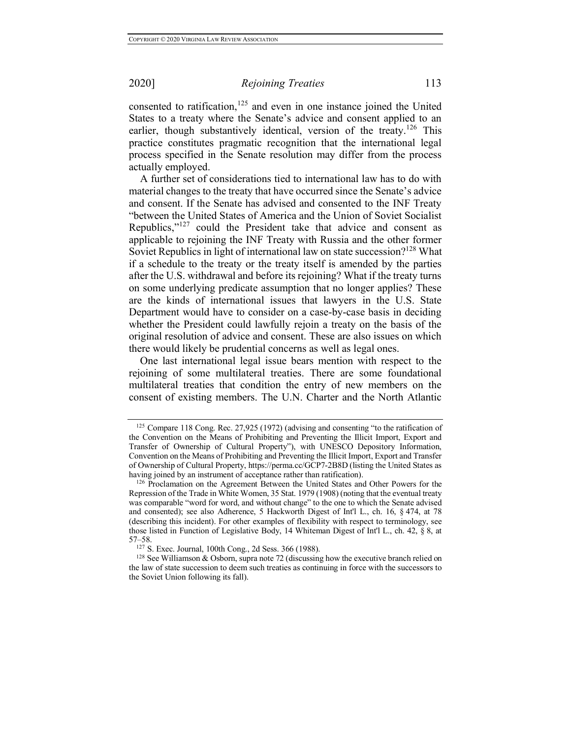consented to ratification,<sup>125</sup> and even in one instance joined the United States to a treaty where the Senate's advice and consent applied to an earlier, though substantively identical, version of the treaty.<sup>126</sup> This practice constitutes pragmatic recognition that the international legal process specified in the Senate resolution may differ from the process actually employed.

A further set of considerations tied to international law has to do with material changes to the treaty that have occurred since the Senate's advice and consent. If the Senate has advised and consented to the INF Treaty "between the United States of America and the Union of Soviet Socialist Republics,"<sup>127</sup> could the President take that advice and consent as applicable to rejoining the INF Treaty with Russia and the other former Soviet Republics in light of international law on state succession?128 What if a schedule to the treaty or the treaty itself is amended by the parties after the U.S. withdrawal and before its rejoining? What if the treaty turns on some underlying predicate assumption that no longer applies? These are the kinds of international issues that lawyers in the U.S. State Department would have to consider on a case-by-case basis in deciding whether the President could lawfully rejoin a treaty on the basis of the original resolution of advice and consent. These are also issues on which there would likely be prudential concerns as well as legal ones.

One last international legal issue bears mention with respect to the rejoining of some multilateral treaties. There are some foundational multilateral treaties that condition the entry of new members on the consent of existing members. The U.N. Charter and the North Atlantic

<sup>125</sup> Compare 118 Cong. Rec. 27,925 (1972) (advising and consenting "to the ratification of the Convention on the Means of Prohibiting and Preventing the Illicit Import, Export and Transfer of Ownership of Cultural Property"), with UNESCO Depository Information, Convention on the Means of Prohibiting and Preventing the Illicit Import, Export and Transfer of Ownership of Cultural Property, https://perma.cc/GCP7-2B8D (listing the United States as having joined by an instrument of acceptance rather than ratification).

<sup>&</sup>lt;sup>126</sup> Proclamation on the Agreement Between the United States and Other Powers for the Repression of the Trade in White Women, 35 Stat. 1979 (1908) (noting that the eventual treaty was comparable "word for word, and without change" to the one to which the Senate advised and consented); see also Adherence, 5 Hackworth Digest of Int'l L., ch. 16, § 474, at 78 (describing this incident). For other examples of flexibility with respect to terminology, see those listed in Function of Legislative Body, 14 Whiteman Digest of Int'l L., ch. 42, § 8, at 57–58.<br><sup>127</sup> S. Exec. Journal, 100th Cong., 2d Sess. 366 (1988).

 $128$  See Williamson & Osborn, supra note 72 (discussing how the executive branch relied on the law of state succession to deem such treaties as continuing in force with the successors to the Soviet Union following its fall).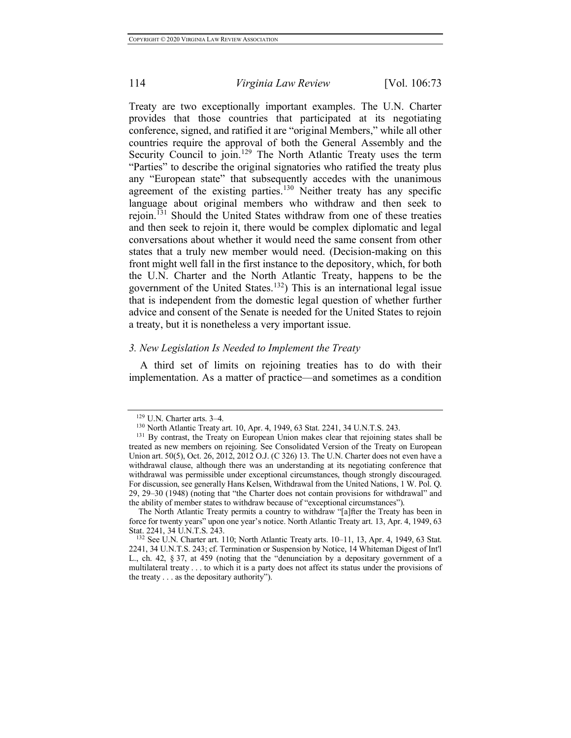Treaty are two exceptionally important examples. The U.N. Charter provides that those countries that participated at its negotiating conference, signed, and ratified it are "original Members," while all other countries require the approval of both the General Assembly and the Security Council to join.<sup>129</sup> The North Atlantic Treaty uses the term "Parties" to describe the original signatories who ratified the treaty plus any "European state" that subsequently accedes with the unanimous agreement of the existing parties.<sup>130</sup> Neither treaty has any specific language about original members who withdraw and then seek to rejoin.<sup>131</sup> Should the United States withdraw from one of these treaties and then seek to rejoin it, there would be complex diplomatic and legal conversations about whether it would need the same consent from other states that a truly new member would need. (Decision-making on this front might well fall in the first instance to the depository, which, for both the U.N. Charter and the North Atlantic Treaty, happens to be the government of the United States.<sup>132</sup>) This is an international legal issue that is independent from the domestic legal question of whether further advice and consent of the Senate is needed for the United States to rejoin a treaty, but it is nonetheless a very important issue.

## *3. New Legislation Is Needed to Implement the Treaty*

A third set of limits on rejoining treaties has to do with their implementation. As a matter of practice—and sometimes as a condition

 $129$  U.N. Charter arts. 3–4.<br> $130$  North Atlantic Treaty art. 10, Apr. 4, 1949, 63 Stat. 2241, 34 U.N.T.S. 243.

<sup>&</sup>lt;sup>131</sup> By contrast, the Treaty on European Union makes clear that rejoining states shall be treated as new members on rejoining. See Consolidated Version of the Treaty on European Union art. 50(5), Oct. 26, 2012, 2012 O.J. (C 326) 13. The U.N. Charter does not even have a withdrawal clause, although there was an understanding at its negotiating conference that withdrawal was permissible under exceptional circumstances, though strongly discouraged. For discussion, see generally Hans Kelsen, Withdrawal from the United Nations, 1 W. Pol. Q. 29, 29–30 (1948) (noting that "the Charter does not contain provisions for withdrawal" and the ability of member states to withdraw because of "exceptional circumstances").

The North Atlantic Treaty permits a country to withdraw "[a]fter the Treaty has been in force for twenty years" upon one year's notice. North Atlantic Treaty art. 13, Apr. 4, 1949, 63

 $132$  See U.N. Charter art. 110; North Atlantic Treaty arts. 10–11, 13, Apr. 4, 1949, 63 Stat. 2241, 34 U.N.T.S. 243; cf. Termination or Suspension by Notice, 14 Whiteman Digest of Int'l L., ch. 42, § 37, at 459 (noting that the "denunciation by a depositary government of a multilateral treaty . . . to which it is a party does not affect its status under the provisions of the treaty . . . as the depositary authority").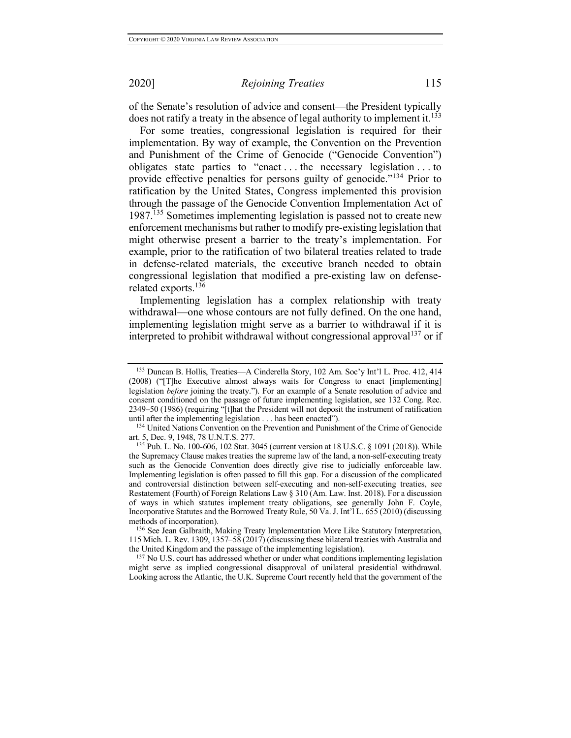of the Senate's resolution of advice and consent—the President typically does not ratify a treaty in the absence of legal authority to implement it.<sup>133</sup>

For some treaties, congressional legislation is required for their implementation. By way of example, the Convention on the Prevention and Punishment of the Crime of Genocide ("Genocide Convention") obligates state parties to "enact . . . the necessary legislation . . . to provide effective penalties for persons guilty of genocide."<sup>134</sup> Prior to ratification by the United States, Congress implemented this provision through the passage of the Genocide Convention Implementation Act of 1987.135 Sometimes implementing legislation is passed not to create new enforcement mechanisms but rather to modify pre-existing legislation that might otherwise present a barrier to the treaty's implementation. For example, prior to the ratification of two bilateral treaties related to trade in defense-related materials, the executive branch needed to obtain congressional legislation that modified a pre-existing law on defenserelated exports.<sup>136</sup>

Implementing legislation has a complex relationship with treaty withdrawal—one whose contours are not fully defined. On the one hand, implementing legislation might serve as a barrier to withdrawal if it is interpreted to prohibit withdrawal without congressional approval<sup>137</sup> or if

<sup>137</sup> No U.S. court has addressed whether or under what conditions implementing legislation might serve as implied congressional disapproval of unilateral presidential withdrawal. Looking across the Atlantic, the U.K. Supreme Court recently held that the government of the

<sup>133</sup> Duncan B. Hollis, Treaties—A Cinderella Story, 102 Am. Soc'y Int'l L. Proc. 412, 414 (2008) ("[T]he Executive almost always waits for Congress to enact [implementing] legislation *before* joining the treaty."). For an example of a Senate resolution of advice and consent conditioned on the passage of future implementing legislation, see 132 Cong. Rec. 2349–50 (1986) (requiring "[t]hat the President will not deposit the instrument of ratification until after the implementing legislation . . . has been enacted").

<sup>&</sup>lt;sup>134</sup> United Nations Convention on the Prevention and Punishment of the Crime of Genocide art. 5, Dec. 9, 1948, 78 U.N.T.S. 277.

<sup>135</sup> Pub. L. No. 100-606, 102 Stat. 3045 (current version at 18 U.S.C. § 1091 (2018)). While the Supremacy Clause makes treaties the supreme law of the land, a non-self-executing treaty such as the Genocide Convention does directly give rise to judicially enforceable law. Implementing legislation is often passed to fill this gap. For a discussion of the complicated and controversial distinction between self-executing and non-self-executing treaties, see Restatement (Fourth) of Foreign Relations Law § 310 (Am. Law. Inst. 2018). For a discussion of ways in which statutes implement treaty obligations, see generally John F. Coyle, Incorporative Statutes and the Borrowed Treaty Rule, 50 Va. J. Int'l L. 655 (2010) (discussing methods of incorporation).

<sup>136</sup> See Jean Galbraith, Making Treaty Implementation More Like Statutory Interpretation, 115 Mich. L. Rev. 1309, 1357–58 (2017) (discussing these bilateral treaties with Australia and the United Kingdom and the passage of the implementing legislation).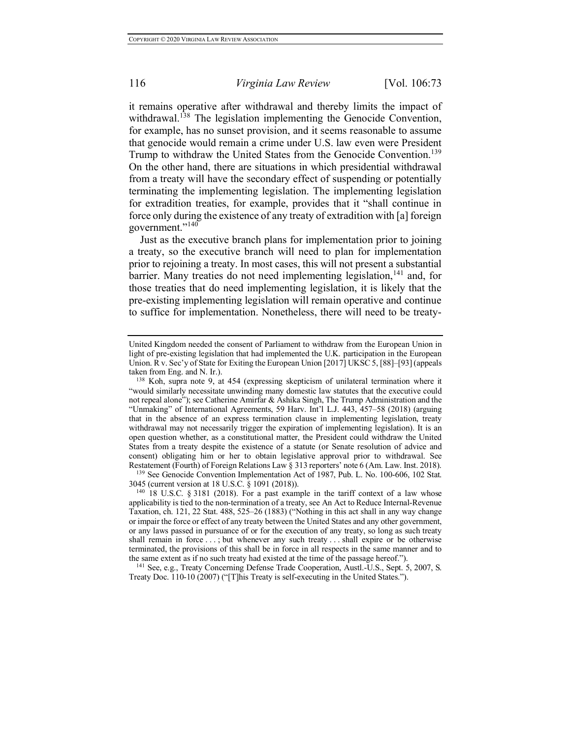it remains operative after withdrawal and thereby limits the impact of withdrawal.<sup>138</sup> The legislation implementing the Genocide Convention, for example, has no sunset provision, and it seems reasonable to assume that genocide would remain a crime under U.S. law even were President Trump to withdraw the United States from the Genocide Convention.<sup>139</sup> On the other hand, there are situations in which presidential withdrawal from a treaty will have the secondary effect of suspending or potentially terminating the implementing legislation. The implementing legislation for extradition treaties, for example, provides that it "shall continue in force only during the existence of any treaty of extradition with [a] foreign government."<sup>140</sup>

Just as the executive branch plans for implementation prior to joining a treaty, so the executive branch will need to plan for implementation prior to rejoining a treaty. In most cases, this will not present a substantial barrier. Many treaties do not need implementing legislation,<sup>141</sup> and, for those treaties that do need implementing legislation, it is likely that the pre-existing implementing legislation will remain operative and continue to suffice for implementation. Nonetheless, there will need to be treaty-

<sup>139</sup> See Genocide Convention Implementation Act of 1987, Pub. L. No. 100-606, 102 Stat. 3045 (current version at 18 U.S.C. § 1091 (2018)).

<sup>141</sup> See, e.g., Treaty Concerning Defense Trade Cooperation, Austl.-U.S., Sept. 5, 2007, S. Treaty Doc. 110-10 (2007) ("[T]his Treaty is self-executing in the United States.").

United Kingdom needed the consent of Parliament to withdraw from the European Union in light of pre-existing legislation that had implemented the U.K. participation in the European Union. R v. Sec'y of State for Exiting the European Union [2017] UKSC 5, [88]–[93] (appeals taken from Eng. and N. Ir.).<br><sup>138</sup> Koh, supra note 9, at 454 (expressing skepticism of unilateral termination where it

<sup>&</sup>quot;would similarly necessitate unwinding many domestic law statutes that the executive could not repeal alone"); see Catherine Amirfar & Ashika Singh, The Trump Administration and the "Unmaking" of International Agreements, 59 Harv. Int'l L.J. 443, 457–58 (2018) (arguing that in the absence of an express termination clause in implementing legislation, treaty withdrawal may not necessarily trigger the expiration of implementing legislation). It is an open question whether, as a constitutional matter, the President could withdraw the United States from a treaty despite the existence of a statute (or Senate resolution of advice and consent) obligating him or her to obtain legislative approval prior to withdrawal. See Restatement (Fourth) of Foreign Relations Law § 313 reporters' note 6 (Am. Law. Inst. 2018).

 $140$  18 U.S.C. § 3181 (2018). For a past example in the tariff context of a law whose applicability is tied to the non-termination of a treaty, see An Act to Reduce Internal-Revenue Taxation, ch. 121, 22 Stat. 488, 525–26 (1883) ("Nothing in this act shall in any way change or impair the force or effect of any treaty between the United States and any other government, or any laws passed in pursuance of or for the execution of any treaty, so long as such treaty shall remain in force . . . ; but whenever any such treaty . . . shall expire or be otherwise terminated, the provisions of this shall be in force in all respects in the same manner and to the same extent as if no such treaty had existed at the time of the passage hereof.").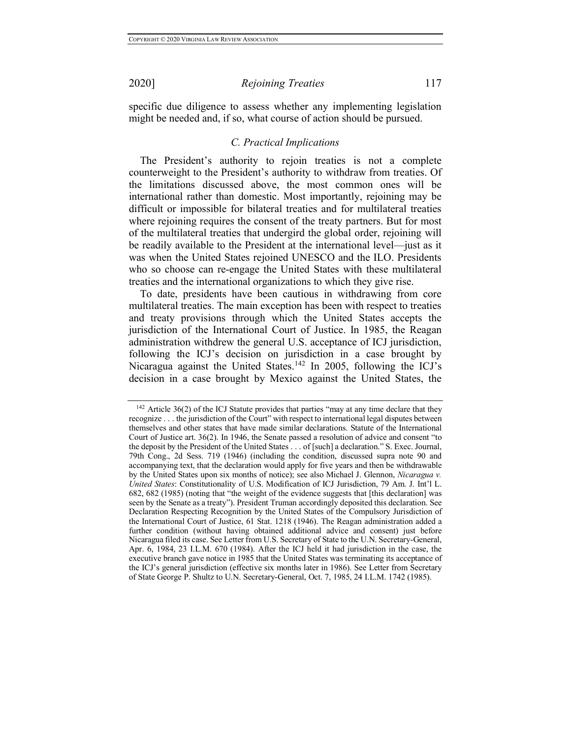specific due diligence to assess whether any implementing legislation might be needed and, if so, what course of action should be pursued.

### *C. Practical Implications*

The President's authority to rejoin treaties is not a complete counterweight to the President's authority to withdraw from treaties. Of the limitations discussed above, the most common ones will be international rather than domestic. Most importantly, rejoining may be difficult or impossible for bilateral treaties and for multilateral treaties where rejoining requires the consent of the treaty partners. But for most of the multilateral treaties that undergird the global order, rejoining will be readily available to the President at the international level—just as it was when the United States rejoined UNESCO and the ILO. Presidents who so choose can re-engage the United States with these multilateral treaties and the international organizations to which they give rise.

To date, presidents have been cautious in withdrawing from core multilateral treaties. The main exception has been with respect to treaties and treaty provisions through which the United States accepts the jurisdiction of the International Court of Justice. In 1985, the Reagan administration withdrew the general U.S. acceptance of ICJ jurisdiction, following the ICJ's decision on jurisdiction in a case brought by Nicaragua against the United States.<sup>142</sup> In 2005, following the ICJ's decision in a case brought by Mexico against the United States, the

<sup>&</sup>lt;sup>142</sup> Article 36(2) of the ICJ Statute provides that parties "may at any time declare that they recognize . . . the jurisdiction of the Court" with respect to international legal disputes between themselves and other states that have made similar declarations. Statute of the International Court of Justice art. 36(2). In 1946, the Senate passed a resolution of advice and consent "to the deposit by the President of the United States . . . of [such] a declaration." S. Exec. Journal, 79th Cong., 2d Sess. 719 (1946) (including the condition, discussed supra note 90 and accompanying text, that the declaration would apply for five years and then be withdrawable by the United States upon six months of notice); see also Michael J. Glennon, *Nicaragua v. United States*: Constitutionality of U.S. Modification of ICJ Jurisdiction, 79 Am. J. Int'l L. 682, 682 (1985) (noting that "the weight of the evidence suggests that [this declaration] was seen by the Senate as a treaty"). President Truman accordingly deposited this declaration. See Declaration Respecting Recognition by the United States of the Compulsory Jurisdiction of the International Court of Justice, 61 Stat. 1218 (1946). The Reagan administration added a further condition (without having obtained additional advice and consent) just before Nicaragua filed its case. See Letter from U.S. Secretary of State to the U.N. Secretary-General, Apr. 6, 1984, 23 I.L.M. 670 (1984). After the ICJ held it had jurisdiction in the case, the executive branch gave notice in 1985 that the United States was terminating its acceptance of the ICJ's general jurisdiction (effective six months later in 1986). See Letter from Secretary of State George P. Shultz to U.N. Secretary-General, Oct. 7, 1985, 24 I.L.M. 1742 (1985).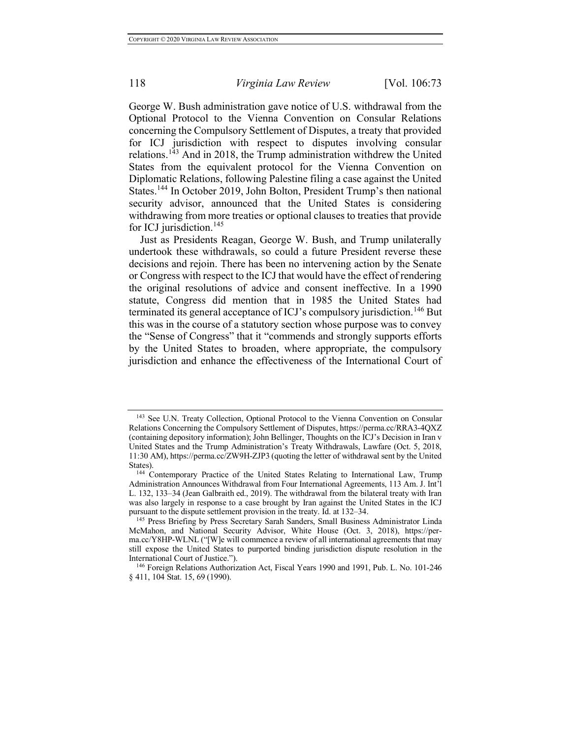George W. Bush administration gave notice of U.S. withdrawal from the Optional Protocol to the Vienna Convention on Consular Relations concerning the Compulsory Settlement of Disputes, a treaty that provided for ICJ jurisdiction with respect to disputes involving consular relations.<sup>143</sup> And in 2018, the Trump administration withdrew the United States from the equivalent protocol for the Vienna Convention on Diplomatic Relations, following Palestine filing a case against the United States.<sup>144</sup> In October 2019, John Bolton, President Trump's then national security advisor, announced that the United States is considering withdrawing from more treaties or optional clauses to treaties that provide for ICJ jurisdiction.<sup>145</sup>

Just as Presidents Reagan, George W. Bush, and Trump unilaterally undertook these withdrawals, so could a future President reverse these decisions and rejoin. There has been no intervening action by the Senate or Congress with respect to the ICJ that would have the effect of rendering the original resolutions of advice and consent ineffective. In a 1990 statute, Congress did mention that in 1985 the United States had terminated its general acceptance of ICJ's compulsory jurisdiction.<sup>146</sup> But this was in the course of a statutory section whose purpose was to convey the "Sense of Congress" that it "commends and strongly supports efforts by the United States to broaden, where appropriate, the compulsory jurisdiction and enhance the effectiveness of the International Court of

<sup>143</sup> See U.N. Treaty Collection, Optional Protocol to the Vienna Convention on Consular Relations Concerning the Compulsory Settlement of Disputes, https://perma.cc/RRA3-4QXZ (containing depository information); John Bellinger, Thoughts on the ICJ's Decision in Iran v United States and the Trump Administration's Treaty Withdrawals, Lawfare (Oct. 5, 2018, 11:30 AM), https://perma.cc/ZW9H-ZJP3 (quoting the letter of withdrawal sent by the United States).

<sup>144</sup> Contemporary Practice of the United States Relating to International Law, Trump Administration Announces Withdrawal from Four International Agreements, 113 Am. J. Int'l L. 132, 133–34 (Jean Galbraith ed., 2019). The withdrawal from the bilateral treaty with Iran was also largely in response to a case brought by Iran against the United States in the ICJ pursuant to the dispute settlement provision in the treaty. Id. at 132–34.

<sup>&</sup>lt;sup>145</sup> Press Briefing by Press Secretary Sarah Sanders, Small Business Administrator Linda McMahon, and National Security Advisor, White House (Oct. 3, 2018), https://perma.cc/Y8HP-WLNL ("[W]e will commence a review of all international agreements that may still expose the United States to purported binding jurisdiction dispute resolution in the International Court of Justice.").

<sup>&</sup>lt;sup>146</sup> Foreign Relations Authorization Act, Fiscal Years 1990 and 1991, Pub. L. No. 101-246 § 411, 104 Stat. 15, 69 (1990).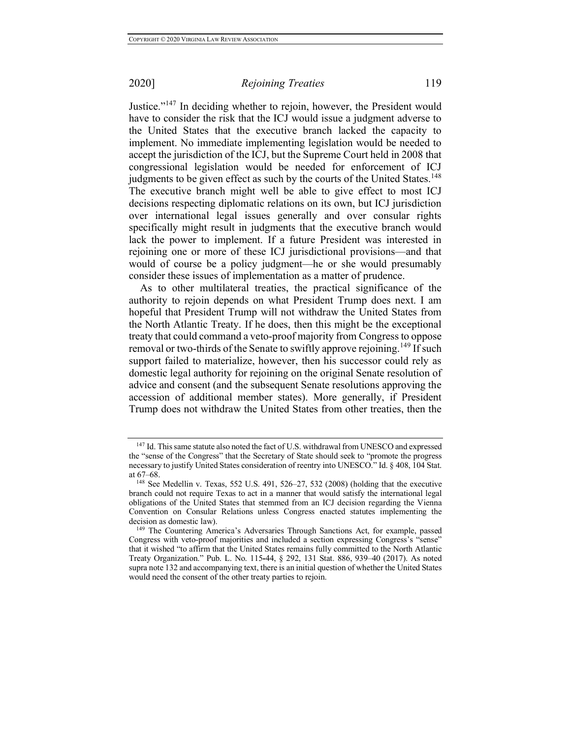Justice."<sup>147</sup> In deciding whether to rejoin, however, the President would have to consider the risk that the ICJ would issue a judgment adverse to the United States that the executive branch lacked the capacity to implement. No immediate implementing legislation would be needed to accept the jurisdiction of the ICJ, but the Supreme Court held in 2008 that congressional legislation would be needed for enforcement of ICJ judgments to be given effect as such by the courts of the United States.<sup>148</sup> The executive branch might well be able to give effect to most ICJ decisions respecting diplomatic relations on its own, but ICJ jurisdiction over international legal issues generally and over consular rights specifically might result in judgments that the executive branch would lack the power to implement. If a future President was interested in rejoining one or more of these ICJ jurisdictional provisions—and that would of course be a policy judgment—he or she would presumably consider these issues of implementation as a matter of prudence.

As to other multilateral treaties, the practical significance of the authority to rejoin depends on what President Trump does next. I am hopeful that President Trump will not withdraw the United States from the North Atlantic Treaty. If he does, then this might be the exceptional treaty that could command a veto-proof majority from Congress to oppose removal or two-thirds of the Senate to swiftly approve rejoining.<sup>149</sup> If such support failed to materialize, however, then his successor could rely as domestic legal authority for rejoining on the original Senate resolution of advice and consent (and the subsequent Senate resolutions approving the accession of additional member states). More generally, if President Trump does not withdraw the United States from other treaties, then the

<sup>147</sup> Id. This same statute also noted the fact of U.S. withdrawal from UNESCO and expressed the "sense of the Congress" that the Secretary of State should seek to "promote the progress necessary to justify United States consideration of reentry into UNESCO." Id. § 408, 104 Stat. at 67–68.

<sup>148</sup> See Medellin v. Texas, 552 U.S. 491, 526–27, 532 (2008) (holding that the executive branch could not require Texas to act in a manner that would satisfy the international legal obligations of the United States that stemmed from an ICJ decision regarding the Vienna Convention on Consular Relations unless Congress enacted statutes implementing the decision as domestic law).

<sup>149</sup> The Countering America's Adversaries Through Sanctions Act, for example, passed Congress with veto-proof majorities and included a section expressing Congress's "sense" that it wished "to affirm that the United States remains fully committed to the North Atlantic Treaty Organization." Pub. L. No. 115**-**44, § 292, 131 Stat. 886, 939–40 (2017). As noted supra note 132 and accompanying text, there is an initial question of whether the United States would need the consent of the other treaty parties to rejoin.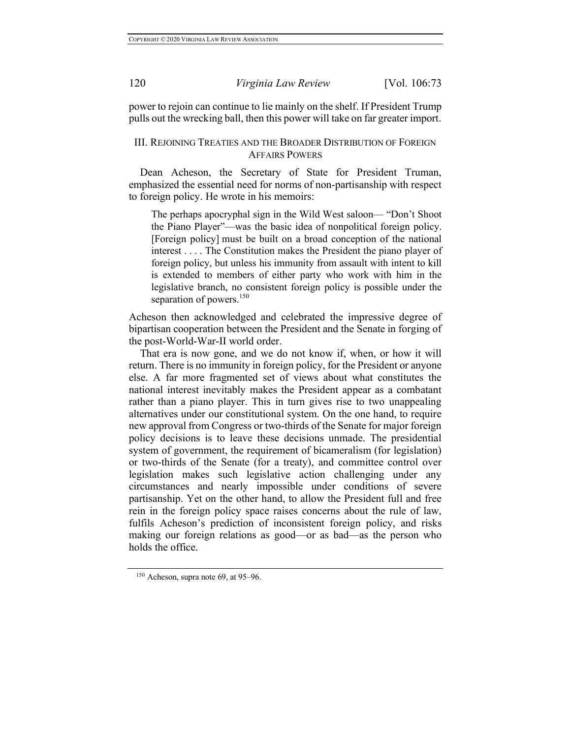power to rejoin can continue to lie mainly on the shelf. If President Trump pulls out the wrecking ball, then this power will take on far greater import.

## III. REJOINING TREATIES AND THE BROADER DISTRIBUTION OF FOREIGN AFFAIRS POWERS

Dean Acheson, the Secretary of State for President Truman, emphasized the essential need for norms of non-partisanship with respect to foreign policy. He wrote in his memoirs:

The perhaps apocryphal sign in the Wild West saloon— "Don't Shoot the Piano Player"—was the basic idea of nonpolitical foreign policy. [Foreign policy] must be built on a broad conception of the national interest . . . . The Constitution makes the President the piano player of foreign policy, but unless his immunity from assault with intent to kill is extended to members of either party who work with him in the legislative branch, no consistent foreign policy is possible under the separation of powers. $150$ 

Acheson then acknowledged and celebrated the impressive degree of bipartisan cooperation between the President and the Senate in forging of the post-World-War-II world order.

That era is now gone, and we do not know if, when, or how it will return. There is no immunity in foreign policy, for the President or anyone else. A far more fragmented set of views about what constitutes the national interest inevitably makes the President appear as a combatant rather than a piano player. This in turn gives rise to two unappealing alternatives under our constitutional system. On the one hand, to require new approval from Congress or two-thirds of the Senate for major foreign policy decisions is to leave these decisions unmade. The presidential system of government, the requirement of bicameralism (for legislation) or two-thirds of the Senate (for a treaty), and committee control over legislation makes such legislative action challenging under any circumstances and nearly impossible under conditions of severe partisanship. Yet on the other hand, to allow the President full and free rein in the foreign policy space raises concerns about the rule of law, fulfils Acheson's prediction of inconsistent foreign policy, and risks making our foreign relations as good—or as bad—as the person who holds the office.

 $150$  Acheson, supra note 69, at 95–96.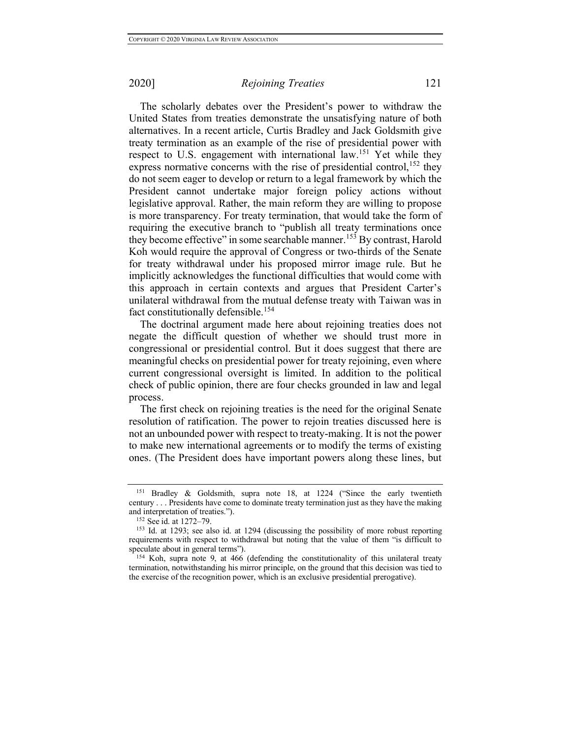The scholarly debates over the President's power to withdraw the United States from treaties demonstrate the unsatisfying nature of both alternatives. In a recent article, Curtis Bradley and Jack Goldsmith give treaty termination as an example of the rise of presidential power with respect to U.S. engagement with international law.<sup>151</sup> Yet while they express normative concerns with the rise of presidential control,  $^{152}$  they do not seem eager to develop or return to a legal framework by which the President cannot undertake major foreign policy actions without legislative approval. Rather, the main reform they are willing to propose is more transparency. For treaty termination, that would take the form of requiring the executive branch to "publish all treaty terminations once they become effective" in some searchable manner.<sup>153</sup> By contrast, Harold Koh would require the approval of Congress or two-thirds of the Senate for treaty withdrawal under his proposed mirror image rule. But he implicitly acknowledges the functional difficulties that would come with this approach in certain contexts and argues that President Carter's unilateral withdrawal from the mutual defense treaty with Taiwan was in fact constitutionally defensible.<sup>154</sup>

The doctrinal argument made here about rejoining treaties does not negate the difficult question of whether we should trust more in congressional or presidential control. But it does suggest that there are meaningful checks on presidential power for treaty rejoining, even where current congressional oversight is limited. In addition to the political check of public opinion, there are four checks grounded in law and legal process.

The first check on rejoining treaties is the need for the original Senate resolution of ratification. The power to rejoin treaties discussed here is not an unbounded power with respect to treaty-making. It is not the power to make new international agreements or to modify the terms of existing ones. (The President does have important powers along these lines, but

<sup>151</sup> Bradley & Goldsmith, supra note 18, at 1224 ("Since the early twentieth century . . . Presidents have come to dominate treaty termination just as they have the making and interpretation of treaties.").

<sup>152</sup> See id. at 1272–79.

<sup>153</sup> Id. at 1293; see also id. at 1294 (discussing the possibility of more robust reporting requirements with respect to withdrawal but noting that the value of them "is difficult to speculate about in general terms").

 $154$  Koh, supra note 9, at 466 (defending the constitutionality of this unilateral treaty termination, notwithstanding his mirror principle, on the ground that this decision was tied to the exercise of the recognition power, which is an exclusive presidential prerogative).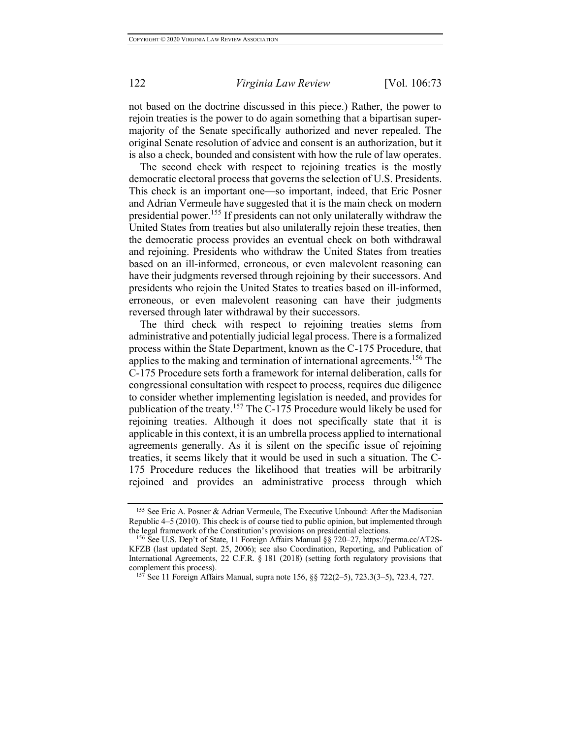not based on the doctrine discussed in this piece.) Rather, the power to rejoin treaties is the power to do again something that a bipartisan supermajority of the Senate specifically authorized and never repealed. The original Senate resolution of advice and consent is an authorization, but it is also a check, bounded and consistent with how the rule of law operates.

The second check with respect to rejoining treaties is the mostly democratic electoral process that governs the selection of U.S. Presidents. This check is an important one—so important, indeed, that Eric Posner and Adrian Vermeule have suggested that it is the main check on modern presidential power.<sup>155</sup> If presidents can not only unilaterally withdraw the United States from treaties but also unilaterally rejoin these treaties, then the democratic process provides an eventual check on both withdrawal and rejoining. Presidents who withdraw the United States from treaties based on an ill-informed, erroneous, or even malevolent reasoning can have their judgments reversed through rejoining by their successors. And presidents who rejoin the United States to treaties based on ill-informed, erroneous, or even malevolent reasoning can have their judgments reversed through later withdrawal by their successors.

The third check with respect to rejoining treaties stems from administrative and potentially judicial legal process. There is a formalized process within the State Department, known as the C-175 Procedure, that applies to the making and termination of international agreements.<sup>156</sup> The C-175 Procedure sets forth a framework for internal deliberation, calls for congressional consultation with respect to process, requires due diligence to consider whether implementing legislation is needed, and provides for publication of the treaty.<sup>157</sup> The C-175 Procedure would likely be used for rejoining treaties. Although it does not specifically state that it is applicable in this context, it is an umbrella process applied to international agreements generally. As it is silent on the specific issue of rejoining treaties, it seems likely that it would be used in such a situation. The C-175 Procedure reduces the likelihood that treaties will be arbitrarily rejoined and provides an administrative process through which

<sup>155</sup> See Eric A. Posner & Adrian Vermeule, The Executive Unbound: After the Madisonian Republic 4–5 (2010). This check is of course tied to public opinion, but implemented through the legal framework of the Constitution's provisions on presidential elections.

<sup>156</sup> See U.S. Dep't of State, 11 Foreign Affairs Manual §§ 720–27, https://perma.cc/AT2S-KFZB (last updated Sept. 25, 2006); see also Coordination, Reporting, and Publication of International Agreements, 22 C.F.R. § 181 (2018) (setting forth regulatory provisions that complement this process).

<sup>157</sup> See 11 Foreign Affairs Manual, supra note 156, §§ 722(2–5), 723.3(3–5), 723.4, 727.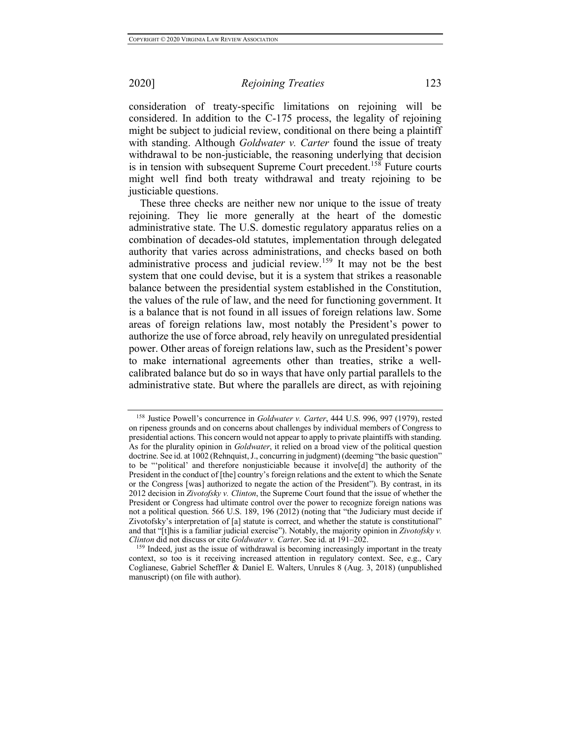consideration of treaty-specific limitations on rejoining will be considered. In addition to the C-175 process, the legality of rejoining might be subject to judicial review, conditional on there being a plaintiff with standing. Although *Goldwater v. Carter* found the issue of treaty withdrawal to be non-justiciable, the reasoning underlying that decision is in tension with subsequent Supreme Court precedent.<sup>158</sup> Future courts might well find both treaty withdrawal and treaty rejoining to be justiciable questions.

These three checks are neither new nor unique to the issue of treaty rejoining. They lie more generally at the heart of the domestic administrative state. The U.S. domestic regulatory apparatus relies on a combination of decades-old statutes, implementation through delegated authority that varies across administrations, and checks based on both administrative process and judicial review.<sup>159</sup> It may not be the best system that one could devise, but it is a system that strikes a reasonable balance between the presidential system established in the Constitution, the values of the rule of law, and the need for functioning government. It is a balance that is not found in all issues of foreign relations law. Some areas of foreign relations law, most notably the President's power to authorize the use of force abroad, rely heavily on unregulated presidential power. Other areas of foreign relations law, such as the President's power to make international agreements other than treaties, strike a wellcalibrated balance but do so in ways that have only partial parallels to the administrative state. But where the parallels are direct, as with rejoining

<sup>158</sup> Justice Powell's concurrence in *Goldwater v. Carter*, 444 U.S. 996, 997 (1979), rested on ripeness grounds and on concerns about challenges by individual members of Congress to presidential actions. This concern would not appear to apply to private plaintiffs with standing. As for the plurality opinion in *Goldwater*, it relied on a broad view of the political question doctrine. See id. at 1002 (Rehnquist, J., concurring in judgment) (deeming "the basic question" to be "'political' and therefore nonjusticiable because it involve[d] the authority of the President in the conduct of [the] country's foreign relations and the extent to which the Senate or the Congress [was] authorized to negate the action of the President"). By contrast, in its 2012 decision in *Zivotofsky v. Clinton*, the Supreme Court found that the issue of whether the President or Congress had ultimate control over the power to recognize foreign nations was not a political question. 566 U.S. 189, 196 (2012) (noting that "the Judiciary must decide if Zivotofsky's interpretation of [a] statute is correct, and whether the statute is constitutional" and that "[t]his is a familiar judicial exercise"). Notably, the majority opinion in *Zivotofsky v. Clinton* did not discuss or cite *Goldwater v. Carter*. See id. at 191–202.

<sup>&</sup>lt;sup>159</sup> Indeed, just as the issue of withdrawal is becoming increasingly important in the treaty context, so too is it receiving increased attention in regulatory context. See, e.g., Cary Coglianese, Gabriel Scheffler & Daniel E. Walters, Unrules 8 (Aug. 3, 2018) (unpublished manuscript) (on file with author).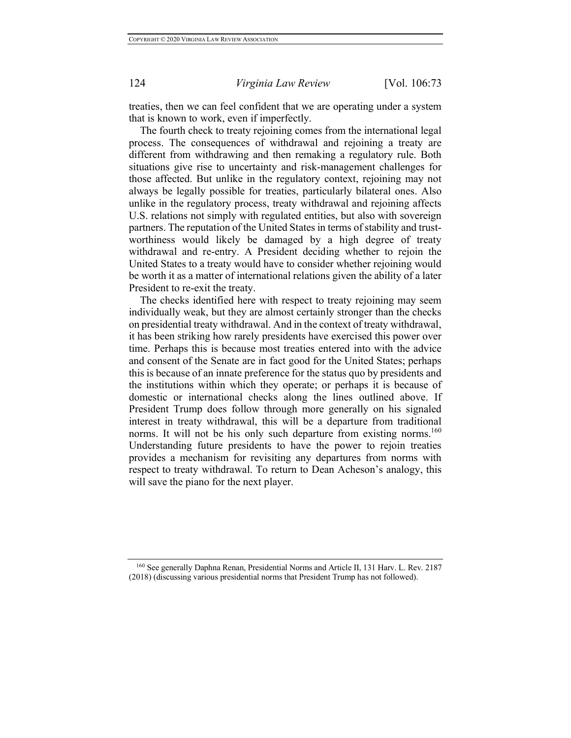treaties, then we can feel confident that we are operating under a system that is known to work, even if imperfectly.

The fourth check to treaty rejoining comes from the international legal process. The consequences of withdrawal and rejoining a treaty are different from withdrawing and then remaking a regulatory rule. Both situations give rise to uncertainty and risk-management challenges for those affected. But unlike in the regulatory context, rejoining may not always be legally possible for treaties, particularly bilateral ones. Also unlike in the regulatory process, treaty withdrawal and rejoining affects U.S. relations not simply with regulated entities, but also with sovereign partners. The reputation of the United States in terms of stability and trustworthiness would likely be damaged by a high degree of treaty withdrawal and re-entry. A President deciding whether to rejoin the United States to a treaty would have to consider whether rejoining would be worth it as a matter of international relations given the ability of a later President to re-exit the treaty.

The checks identified here with respect to treaty rejoining may seem individually weak, but they are almost certainly stronger than the checks on presidential treaty withdrawal. And in the context of treaty withdrawal, it has been striking how rarely presidents have exercised this power over time. Perhaps this is because most treaties entered into with the advice and consent of the Senate are in fact good for the United States; perhaps this is because of an innate preference for the status quo by presidents and the institutions within which they operate; or perhaps it is because of domestic or international checks along the lines outlined above. If President Trump does follow through more generally on his signaled interest in treaty withdrawal, this will be a departure from traditional norms. It will not be his only such departure from existing norms.<sup>160</sup> Understanding future presidents to have the power to rejoin treaties provides a mechanism for revisiting any departures from norms with respect to treaty withdrawal. To return to Dean Acheson's analogy, this will save the piano for the next player.

<sup>160</sup> See generally Daphna Renan, Presidential Norms and Article II, 131 Harv. L. Rev. 2187 (2018) (discussing various presidential norms that President Trump has not followed).